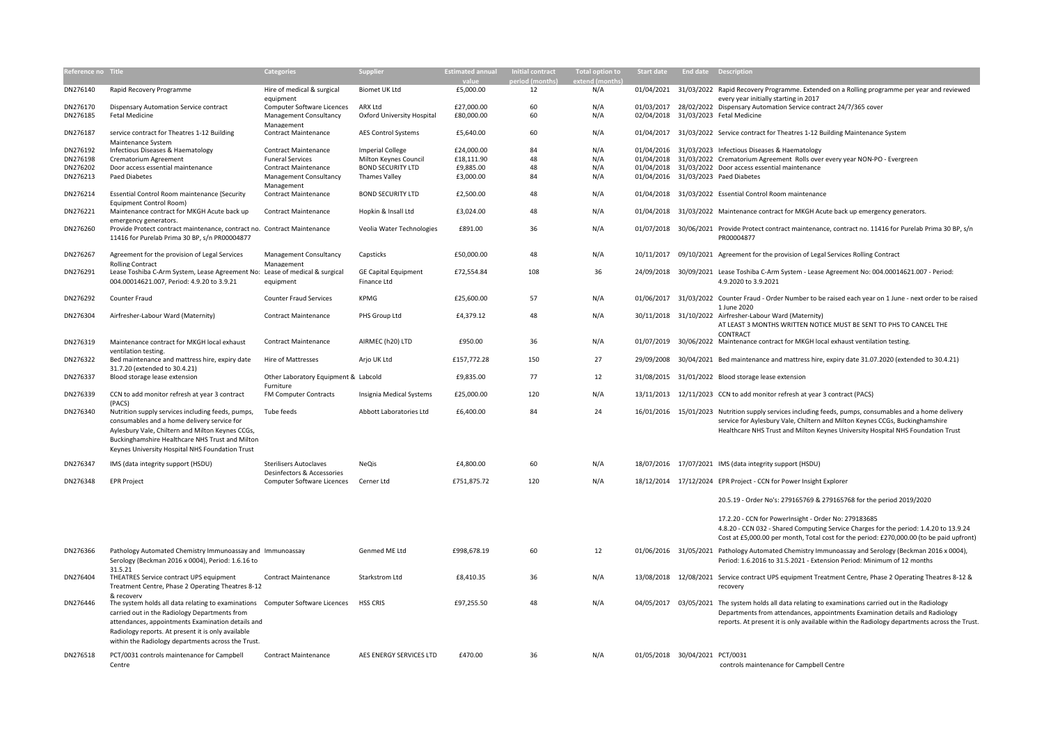| Reference no Title |                                                                                                                                                                                                                                                                                                                | <b>Categories</b>                                        | <b>Supplier</b>                   | <b>Estimated annual</b> | <b>Initial contract</b> | <b>Total option to</b> | Start date                     | <b>End date Description</b> |                                                                                                                                                                                                                                                                                      |
|--------------------|----------------------------------------------------------------------------------------------------------------------------------------------------------------------------------------------------------------------------------------------------------------------------------------------------------------|----------------------------------------------------------|-----------------------------------|-------------------------|-------------------------|------------------------|--------------------------------|-----------------------------|--------------------------------------------------------------------------------------------------------------------------------------------------------------------------------------------------------------------------------------------------------------------------------------|
| DN276140           | Rapid Recovery Programme                                                                                                                                                                                                                                                                                       | Hire of medical & surgical<br>equipment                  | Biomet UK Ltd                     | £5,000.00               | 12                      | N/A                    | 01/04/2021                     |                             | 31/03/2022 Rapid Recovery Programme. Extended on a Rolling programme per year and reviewed<br>every year initially starting in 2017                                                                                                                                                  |
| DN276170           | Dispensary Automation Service contract                                                                                                                                                                                                                                                                         | Computer Software Licences                               | ARX Ltd                           | £27,000.00              | 60                      | N/A                    |                                |                             | 01/03/2017 28/02/2022 Dispensary Automation Service contract 24/7/365 cover                                                                                                                                                                                                          |
| DN276185           | <b>Fetal Medicine</b>                                                                                                                                                                                                                                                                                          | Management Consultancy<br>Management                     | <b>Oxford University Hospital</b> | £80,000.00              | 60                      | N/A                    |                                |                             | 02/04/2018 31/03/2023 Fetal Medicine                                                                                                                                                                                                                                                 |
| DN276187           | service contract for Theatres 1-12 Building                                                                                                                                                                                                                                                                    | <b>Contract Maintenance</b>                              | <b>AES Control Systems</b>        | £5,640.00               | 60                      | N/A                    |                                |                             | 01/04/2017 31/03/2022 Service contract for Theatres 1-12 Building Maintenance System                                                                                                                                                                                                 |
| DN276192           | Maintenance System<br>Infectious Diseases & Haematology                                                                                                                                                                                                                                                        | <b>Contract Maintenance</b>                              | <b>Imperial College</b>           | £24,000.00              | 84                      | N/A                    |                                |                             | 01/04/2016 31/03/2023 Infectious Diseases & Haematology                                                                                                                                                                                                                              |
| DN276198           | Crematorium Agreement                                                                                                                                                                                                                                                                                          | <b>Funeral Services</b>                                  | Milton Keynes Council             | £18,111.90              | 48                      | N/A                    | 01/04/2018                     |                             | 31/03/2022 Crematorium Agreement Rolls over every year NON-PO - Evergreen                                                                                                                                                                                                            |
| DN276202           | Door access essential maintenance                                                                                                                                                                                                                                                                              | <b>Contract Maintenance</b>                              | <b>BOND SECURITY LTD</b>          | £9,885.00               | 48                      | N/A                    |                                |                             | 01/04/2018 31/03/2022 Door access essential maintenance                                                                                                                                                                                                                              |
| DN276213           | <b>Paed Diabetes</b>                                                                                                                                                                                                                                                                                           | Management Consultancy                                   | <b>Thames Valley</b>              | £3,000.00               | 84                      | N/A                    |                                |                             | 01/04/2016 31/03/2023 Paed Diabetes                                                                                                                                                                                                                                                  |
| DN276214           | Essential Control Room maintenance (Security                                                                                                                                                                                                                                                                   | Management<br><b>Contract Maintenance</b>                | <b>BOND SECURITY LTD</b>          | £2,500.00               | 48                      | N/A                    |                                |                             | 01/04/2018 31/03/2022 Essential Control Room maintenance                                                                                                                                                                                                                             |
| DN276221           | <b>Equipment Control Room)</b><br>Maintenance contract for MKGH Acute back up                                                                                                                                                                                                                                  | <b>Contract Maintenance</b>                              | Hopkin & Insall Ltd               | £3,024.00               | 48                      | N/A                    | 01/04/2018                     |                             | 31/03/2022 Maintenance contract for MKGH Acute back up emergency generators.                                                                                                                                                                                                         |
| DN276260           | emergency generators.<br>Provide Protect contract maintenance, contract no. Contract Maintenance                                                                                                                                                                                                               |                                                          | Veolia Water Technologies         | £891.00                 | 36                      | N/A                    |                                |                             | 01/07/2018 30/06/2021 Provide Protect contract maintenance, contract no. 11416 for Purelab Prima 30 BP, s/n                                                                                                                                                                          |
|                    | 11416 for Purelab Prima 30 BP, s/n PR00004877                                                                                                                                                                                                                                                                  |                                                          |                                   |                         |                         |                        |                                |                             | PR00004877                                                                                                                                                                                                                                                                           |
| DN276267           | Agreement for the provision of Legal Services                                                                                                                                                                                                                                                                  | Management Consultancy                                   | Capsticks                         | £50,000.00              | 48                      | N/A                    | 10/11/2017                     |                             | 09/10/2021 Agreement for the provision of Legal Services Rolling Contract                                                                                                                                                                                                            |
| DN276291           | <b>Rolling Contract</b><br>Lease Toshiba C-Arm System, Lease Agreement No: Lease of medical & surgical                                                                                                                                                                                                         | Management                                               | <b>GE Capital Equipment</b>       | £72,554.84              | 108                     | 36                     |                                |                             | 24/09/2018 30/09/2021 Lease Toshiba C-Arm System - Lease Agreement No: 004.00014621.007 - Period:                                                                                                                                                                                    |
|                    | 004.00014621.007, Period: 4.9.20 to 3.9.21                                                                                                                                                                                                                                                                     | equipment                                                | Finance Ltd                       |                         |                         |                        |                                |                             | 4.9.2020 to 3.9.2021                                                                                                                                                                                                                                                                 |
| DN276292           | Counter Fraud                                                                                                                                                                                                                                                                                                  | <b>Counter Fraud Services</b>                            | <b>KPMG</b>                       | £25,600.00              | 57                      | N/A                    | 01/06/2017                     |                             | 31/03/2022 Counter Fraud - Order Number to be raised each year on 1 June - next order to be raised<br>1 June 2020                                                                                                                                                                    |
| DN276304           | Airfresher-Labour Ward (Maternity)                                                                                                                                                                                                                                                                             | <b>Contract Maintenance</b>                              | PHS Group Ltd                     | £4,379.12               | 48                      | N/A                    | 30/11/2018                     |                             | 31/10/2022 Airfresher-Labour Ward (Maternity)<br>AT LEAST 3 MONTHS WRITTEN NOTICE MUST BE SENT TO PHS TO CANCEL THE                                                                                                                                                                  |
| DN276319           | Maintenance contract for MKGH local exhaust                                                                                                                                                                                                                                                                    | <b>Contract Maintenance</b>                              | AIRMEC (h20) LTD                  | £950.00                 | 36                      | N/A                    | 01/07/2019                     |                             | CONTRACT<br>30/06/2022 Maintenance contract for MKGH local exhaust ventilation testing.                                                                                                                                                                                              |
| DN276322           | ventilation testing.<br>Bed maintenance and mattress hire, expiry date                                                                                                                                                                                                                                         | Hire of Mattresses                                       | Arjo UK Ltd                       | £157,772.28             | 150                     | 27                     | 29/09/2008                     |                             | 30/04/2021 Bed maintenance and mattress hire, expiry date 31.07.2020 (extended to 30.4.21)                                                                                                                                                                                           |
| DN276337           | 31.7.20 (extended to 30.4.21)<br>Blood storage lease extension                                                                                                                                                                                                                                                 | Other Laboratory Equipment & Labcold                     |                                   | £9,835.00               | 77                      | 12                     |                                |                             | 31/08/2015 31/01/2022 Blood storage lease extension                                                                                                                                                                                                                                  |
| DN276339           | CCN to add monitor refresh at year 3 contract                                                                                                                                                                                                                                                                  | Furniture<br><b>FM Computer Contracts</b>                | Insignia Medical Systems          | £25,000.00              | 120                     | N/A                    |                                |                             | 13/11/2013 12/11/2023 CCN to add monitor refresh at year 3 contract (PACS)                                                                                                                                                                                                           |
| DN276340           | (PACS)<br>Nutrition supply services including feeds, pumps,                                                                                                                                                                                                                                                    | Tube feeds                                               | Abbott Laboratories Ltd           | £6,400.00               | 84                      | 24                     |                                |                             | 16/01/2016 15/01/2023 Nutrition supply services including feeds, pumps, consumables and a home delivery                                                                                                                                                                              |
|                    | consumables and a home delivery service for<br>Aylesbury Vale, Chiltern and Milton Keynes CCGs,<br>Buckinghamshire Healthcare NHS Trust and Milton<br>Keynes University Hospital NHS Foundation Trust                                                                                                          |                                                          |                                   |                         |                         |                        |                                |                             | service for Aylesbury Vale, Chiltern and Milton Keynes CCGs, Buckinghamshire<br>Healthcare NHS Trust and Milton Keynes University Hospital NHS Foundation Trust                                                                                                                      |
| DN276347           | IMS (data integrity support (HSDU)                                                                                                                                                                                                                                                                             | <b>Sterilisers Autoclaves</b>                            | NeQis                             | £4,800.00               | 60                      | N/A                    |                                |                             | 18/07/2016 17/07/2021 IMS (data integrity support (HSDU)                                                                                                                                                                                                                             |
| DN276348           | <b>EPR Project</b>                                                                                                                                                                                                                                                                                             | Desinfectors & Accessories<br>Computer Software Licences | Cerner Ltd                        | £751,875.72             | 120                     | N/A                    |                                |                             | 18/12/2014 17/12/2024 EPR Project - CCN for Power Insight Explorer                                                                                                                                                                                                                   |
|                    |                                                                                                                                                                                                                                                                                                                |                                                          |                                   |                         |                         |                        |                                |                             | 20.5.19 - Order No's: 279165769 & 279165768 for the period 2019/2020                                                                                                                                                                                                                 |
|                    |                                                                                                                                                                                                                                                                                                                |                                                          |                                   |                         |                         |                        |                                |                             | 17.2.20 - CCN for PowerInsight - Order No: 279183685<br>4.8.20 - CCN 032 - Shared Computing Service Charges for the period: 1.4.20 to 13.9.24<br>Cost at £5,000.00 per month, Total cost for the period: £270,000.00 (to be paid upfront)                                            |
| DN276366           | Pathology Automated Chemistry Immunoassay and Immunoassay<br>Serology (Beckman 2016 x 0004), Period: 1.6.16 to                                                                                                                                                                                                 |                                                          | Genmed ME Ltd                     | £998,678.19             | 60                      | 12                     |                                |                             | 01/06/2016 31/05/2021 Pathology Automated Chemistry Immunoassay and Serology (Beckman 2016 x 0004),<br>Period: 1.6.2016 to 31.5.2021 - Extension Period: Minimum of 12 months                                                                                                        |
| DN276404           | 31.5.21<br>THEATRES Service contract UPS equipment<br>Treatment Centre, Phase 2 Operating Theatres 8-12                                                                                                                                                                                                        | <b>Contract Maintenance</b>                              | Starkstrom Ltd                    | £8,410.35               | 36                      | N/A                    | 13/08/2018                     |                             | 12/08/2021 Service contract UPS equipment Treatment Centre, Phase 2 Operating Theatres 8-12 &<br>recovery                                                                                                                                                                            |
| DN276446           | & recoverv<br>The system holds all data relating to examinations  Computer Software Licences<br>carried out in the Radiology Departments from<br>attendances, appointments Examination details and<br>Radiology reports. At present it is only available<br>within the Radiology departments across the Trust. |                                                          | <b>HSS CRIS</b>                   | £97,255.50              | 48                      | N/A                    |                                |                             | 04/05/2017 03/05/2021 The system holds all data relating to examinations carried out in the Radiology<br>Departments from attendances, appointments Examination details and Radiology<br>reports. At present it is only available within the Radiology departments across the Trust. |
| DN276518           | PCT/0031 controls maintenance for Campbell<br>Centre                                                                                                                                                                                                                                                           | <b>Contract Maintenance</b>                              | AES ENERGY SERVICES LTD           | £470.00                 | 36                      | N/A                    | 01/05/2018 30/04/2021 PCT/0031 |                             | controls maintenance for Campbell Centre                                                                                                                                                                                                                                             |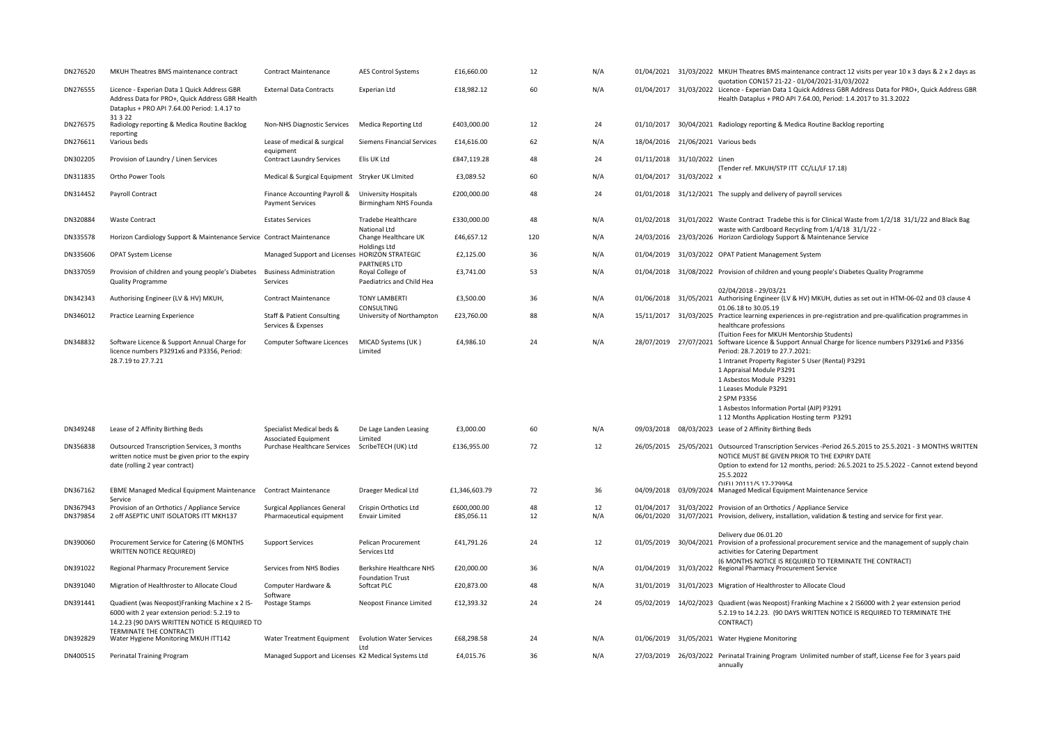| DN276520             | MKUH Theatres BMS maintenance contract                                                                                                           | <b>Contract Maintenance</b>                                                     | <b>AES Control Systems</b>                          | £16,660.00                | 12       | N/A       |                                    | 01/04/2021 31/03/2022 MKUH Theatres BMS maintenance contract 12 visits per year 10 x 3 days & 2 x 2 days as                                                                                                                                                                                                                                                                                                                           |
|----------------------|--------------------------------------------------------------------------------------------------------------------------------------------------|---------------------------------------------------------------------------------|-----------------------------------------------------|---------------------------|----------|-----------|------------------------------------|---------------------------------------------------------------------------------------------------------------------------------------------------------------------------------------------------------------------------------------------------------------------------------------------------------------------------------------------------------------------------------------------------------------------------------------|
| DN276555             | Licence - Experian Data 1 Quick Address GBR<br>Address Data for PRO+, Quick Address GBR Health<br>Dataplus + PRO API 7.64.00 Period: 1.4.17 to   | <b>External Data Contracts</b>                                                  | Experian Ltd                                        | £18,982.12                | 60       | N/A       |                                    | quotation CON157 21-22 - 01/04/2021-31/03/2022<br>01/04/2017 31/03/2022 Licence - Experian Data 1 Quick Address GBR Address Data for PRO+, Quick Address GBR<br>Health Dataplus + PRO API 7.64.00, Period: 1.4.2017 to 31.3.2022                                                                                                                                                                                                      |
| DN276575             | 31 3 22<br>Radiology reporting & Medica Routine Backlog                                                                                          | <b>Non-NHS Diagnostic Services</b>                                              | Medica Reporting Ltd                                | £403,000.00               | 12       | 24        | 01/10/2017                         | 30/04/2021 Radiology reporting & Medica Routine Backlog reporting                                                                                                                                                                                                                                                                                                                                                                     |
| DN276611             | reporting<br>Various beds                                                                                                                        | Lease of medical & surgical                                                     | Siemens Financial Services                          | £14,616.00                | 62       | N/A       | 18/04/2016 21/06/2021 Various beds |                                                                                                                                                                                                                                                                                                                                                                                                                                       |
| DN302205             | Provision of Laundry / Linen Services                                                                                                            | equipment<br><b>Contract Laundry Services</b>                                   | Elis UK Ltd                                         | £847,119.28               | 48       | 24        | 01/11/2018 31/10/2022 Linen        | (Tender ref. MKUH/STP ITT CC/LL/LF 17.18)                                                                                                                                                                                                                                                                                                                                                                                             |
| DN311835             | Ortho Power Tools                                                                                                                                | Medical & Surgical Equipment Stryker UK LImited                                 |                                                     | £3,089.52                 | 60       | N/A       | 01/04/2017 31/03/2022 x            |                                                                                                                                                                                                                                                                                                                                                                                                                                       |
| DN314452             | Payroll Contract                                                                                                                                 | Finance Accounting Payroll &<br><b>Payment Services</b>                         | University Hospitals<br>Birmingham NHS Founda       | £200,000.00               | 48       | 24        | 01/01/2018                         | 31/12/2021 The supply and delivery of payroll services                                                                                                                                                                                                                                                                                                                                                                                |
| DN320884             | <b>Waste Contract</b>                                                                                                                            | <b>Estates Services</b>                                                         | Tradebe Healthcare<br>National Ltd                  | £330,000.00               | 48       | N/A       | 01/02/2018                         | 31/01/2022 Waste Contract Tradebe this is for Clinical Waste from 1/2/18 31/1/22 and Black Bag<br>waste with Cardboard Recycling from 1/4/18 31/1/22 -                                                                                                                                                                                                                                                                                |
| DN335578             | Horizon Cardiology Support & Maintenance Service Contract Maintenance                                                                            |                                                                                 | Change Healthcare UK<br>Holdings Ltd                | £46,657.12                | 120      | N/A       |                                    | 24/03/2016 23/03/2026 Horizon Cardiology Support & Maintenance Service                                                                                                                                                                                                                                                                                                                                                                |
| DN335606             | <b>OPAT System License</b>                                                                                                                       | Managed Support and Licenses HORIZON STRATEGIC                                  | PARTNERS LTD                                        | £2,125.00                 | 36       | N/A       |                                    | 01/04/2019 31/03/2022 OPAT Patient Management System                                                                                                                                                                                                                                                                                                                                                                                  |
| DN337059             | Provision of children and young people's Diabetes<br><b>Quality Programme</b>                                                                    | <b>Business Administration</b><br>Services                                      | Royal College of<br>Paediatrics and Child Hea       | £3,741.00                 | 53       | N/A       |                                    | 01/04/2018 31/08/2022 Provision of children and young people's Diabetes Quality Programme                                                                                                                                                                                                                                                                                                                                             |
| DN342343             | Authorising Engineer (LV & HV) MKUH,                                                                                                             | <b>Contract Maintenance</b>                                                     | <b>TONY LAMBERTI</b><br>CONSULTING                  | £3,500.00                 | 36       | N/A       | 01/06/2018                         | 02/04/2018 - 29/03/21<br>31/05/2021 Authorising Engineer (LV & HV) MKUH, duties as set out in HTM-06-02 and 03 clause 4<br>01.06.18 to 30.05.19                                                                                                                                                                                                                                                                                       |
| DN346012             | Practice Learning Experience                                                                                                                     | <b>Staff &amp; Patient Consulting</b><br>Services & Expenses                    | University of Northampton                           | £23,760.00                | 88       | N/A       |                                    | 15/11/2017 31/03/2025 Practice learning experiences in pre-registration and pre-qualification programmes in<br>healthcare professions                                                                                                                                                                                                                                                                                                 |
| DN348832             | Software Licence & Support Annual Charge for<br>licence numbers P3291x6 and P3356, Period:<br>28.7.19 to 27.7.21                                 | Computer Software Licences                                                      | MICAD Systems (UK)<br>Limited                       | £4,986.10                 | 24       | N/A       |                                    | (Tuition Fees for MKUH Mentorship Students)<br>28/07/2019 27/07/2021 Software Licence & Support Annual Charge for licence numbers P3291x6 and P3356<br>Period: 28.7.2019 to 27.7.2021:<br>1 Intranet Property Register 5 User (Rental) P3291<br>1 Appraisal Module P3291<br>1 Asbestos Module P3291<br>1 Leases Module P3291<br>2 SPM P3356<br>1 Asbestos Information Portal (AIP) P3291<br>112 Months Application Hosting term P3291 |
| DN349248             | Lease of 2 Affinity Birthing Beds                                                                                                                | Specialist Medical beds &                                                       | De Lage Landen Leasing                              | £3,000.00                 | 60       | N/A       |                                    | 09/03/2018 08/03/2023 Lease of 2 Affinity Birthing Beds                                                                                                                                                                                                                                                                                                                                                                               |
| DN356838             | Outsourced Transcription Services, 3 months<br>written notice must be given prior to the expiry<br>date (rolling 2 year contract)                | <b>Associated Equipment</b><br>Purchase Healthcare Services ScribeTECH (UK) Ltd | Limited                                             | £136,955.00               | 72       | 12        |                                    | 26/05/2015 25/05/2021 Outsourced Transcription Services -Period 26.5.2015 to 25.5.2021 - 3 MONTHS WRITTEN<br>NOTICE MUST BE GIVEN PRIOR TO THE EXPIRY DATE<br>Option to extend for 12 months, period: 26.5.2021 to 25.5.2022 - Cannot extend beyond<br>25.5.2022                                                                                                                                                                      |
| DN367162             | <b>EBME Managed Medical Equipment Maintenance</b><br>Service                                                                                     | <b>Contract Maintenance</b>                                                     | Draeger Medical Ltd                                 | £1,346,603.79             | 72       | 36        | 04/09/2018                         | OIFII 20111/S 17-279954<br>03/09/2024 Managed Medical Equipment Maintenance Service                                                                                                                                                                                                                                                                                                                                                   |
| DN367943<br>DN379854 | Provision of an Orthotics / Appliance Service<br>2 off ASEPTIC UNIT ISOLATORS ITT MKH137                                                         | <b>Surgical Appliances General</b><br>Pharmaceutical equipment                  | Crispin Orthotics Ltd<br><b>Envair Limited</b>      | £600.000.00<br>£85,056.11 | 48<br>12 | 12<br>N/A | 01/04/2017<br>06/01/2020           | 31/03/2022 Provision of an Orthotics / Appliance Service<br>31/07/2021 Provision, delivery, installation, validation & testing and service for first year.                                                                                                                                                                                                                                                                            |
| DN390060             | Procurement Service for Catering (6 MONTHS<br><b>WRITTEN NOTICE REQUIRED)</b>                                                                    | <b>Support Services</b>                                                         | Pelican Procurement<br>Services Ltd                 | £41,791.26                | 24       | 12        |                                    | Deliverv due 06.01.20<br>01/05/2019 30/04/2021 Provision of a professional procurement service and the management of supply chain<br>activities for Catering Department                                                                                                                                                                                                                                                               |
| DN391022             | Regional Pharmacy Procurement Service                                                                                                            | Services from NHS Bodies                                                        | Berkshire Healthcare NHS<br><b>Foundation Trust</b> | £20,000.00                | 36       | N/A       |                                    | (6 MONTHS NOTICE IS REQUIRED TO TERMINATE THE CONTRACT)<br>01/04/2019 31/03/2022 Regional Pharmacy Procurement Service                                                                                                                                                                                                                                                                                                                |
| DN391040             | Migration of Healthroster to Allocate Cloud                                                                                                      | Computer Hardware &<br>Software                                                 | Softcat PLC                                         | £20,873.00                | 48       | N/A       | 31/01/2019                         | 31/01/2023 Migration of Healthroster to Allocate Cloud                                                                                                                                                                                                                                                                                                                                                                                |
| DN391441             | Quadient (was Neopost)Franking Machine x 2 IS-<br>6000 with 2 year extension period: 5.2.19 to<br>14.2.23 (90 DAYS WRITTEN NOTICE IS REQUIRED TO | Postage Stamps                                                                  | Neopost Finance Limited                             | £12,393.32                | 24       | 24        | 05/02/2019                         | 14/02/2023 Quadient (was Neopost) Franking Machine x 2 IS6000 with 2 year extension period<br>5.2.19 to 14.2.23. (90 DAYS WRITTEN NOTICE IS REQUIRED TO TERMINATE THE<br>CONTRACT)                                                                                                                                                                                                                                                    |
| DN392829             | TERMINATE THE CONTRACT)<br>Water Hygiene Monitoring MKUH ITT142                                                                                  | Water Treatment Equipment                                                       | <b>Evolution Water Services</b><br><b>Ltd</b>       | £68,298.58                | 24       | N/A       |                                    | 01/06/2019 31/05/2021 Water Hygiene Monitoring                                                                                                                                                                                                                                                                                                                                                                                        |
| DN400515             | Perinatal Training Program                                                                                                                       | Managed Support and Licenses K2 Medical Systems Ltd                             |                                                     | £4,015.76                 | 36       | N/A       |                                    | 27/03/2019 26/03/2022 Perinatal Training Program Unlimited number of staff, License Fee for 3 years paid<br>annually                                                                                                                                                                                                                                                                                                                  |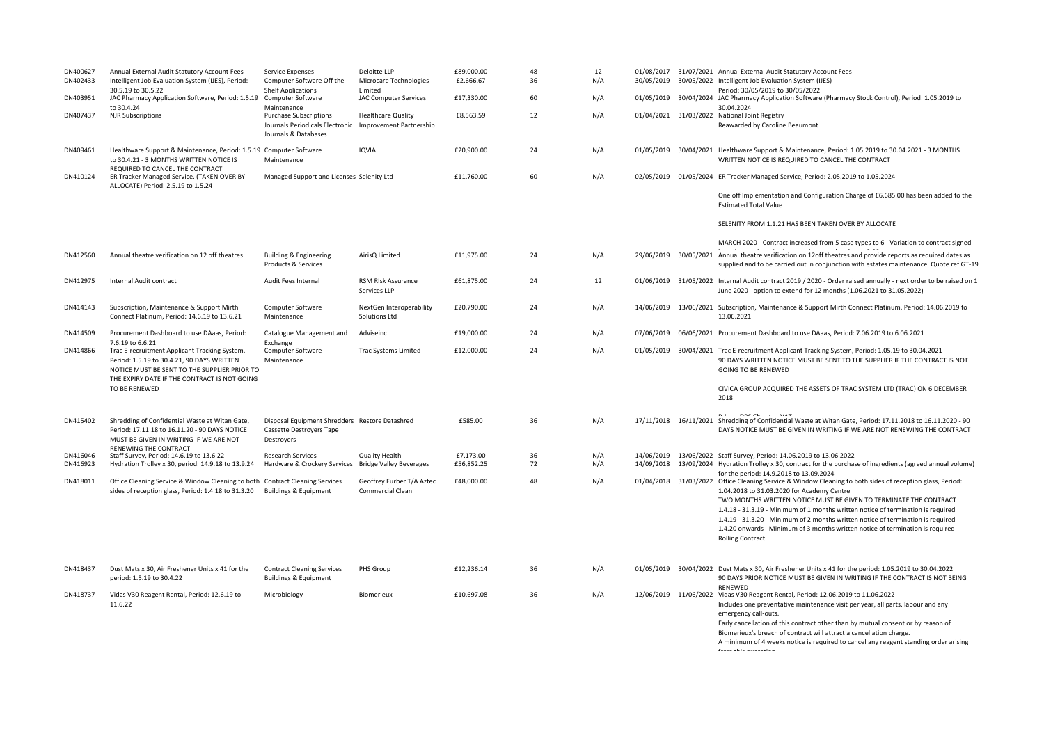| DN400627<br>DN402433 | Annual External Audit Statutory Account Fees<br>Intelligent Job Evaluation System (IJES), Period:<br>30.5.19 to 30.5.22                                                                     | Service Expenses<br>Computer Software Off the<br><b>Shelf Applications</b>                                       | Deloitte LLP<br>Microcare Technologies<br>Limited | £89,000.00<br>£2,666.67 | 48<br>36 | 12<br>N/A  | 30/05/2019               | 01/08/2017 31/07/2021 Annual External Audit Statutory Account Fees<br>30/05/2022 Intelligent Job Evaluation System (IJES)                                                                                                                                                                                                                                                                                                                                                                                                                                    |
|----------------------|---------------------------------------------------------------------------------------------------------------------------------------------------------------------------------------------|------------------------------------------------------------------------------------------------------------------|---------------------------------------------------|-------------------------|----------|------------|--------------------------|--------------------------------------------------------------------------------------------------------------------------------------------------------------------------------------------------------------------------------------------------------------------------------------------------------------------------------------------------------------------------------------------------------------------------------------------------------------------------------------------------------------------------------------------------------------|
| DN403951             | JAC Pharmacy Application Software, Period: 1.5.19<br>to 30.4.24                                                                                                                             | Computer Software<br>Maintenance                                                                                 | <b>JAC Computer Services</b>                      | £17,330.00              | 60       | N/A        | 01/05/2019               | Period: 30/05/2019 to 30/05/2022<br>30/04/2024 JAC Pharmacy Application Software (Pharmacy Stock Control), Period: 1.05.2019 to<br>30.04.2024                                                                                                                                                                                                                                                                                                                                                                                                                |
| DN407437             | <b>NJR Subscriptions</b>                                                                                                                                                                    | <b>Purchase Subscriptions</b><br>Journals Periodicals Electronic Improvement Partnership<br>Journals & Databases | <b>Healthcare Quality</b>                         | £8,563.59               | 12       | N/A        |                          | 01/04/2021 31/03/2022 National Joint Registry<br>Reawarded by Caroline Beaumont                                                                                                                                                                                                                                                                                                                                                                                                                                                                              |
| DN409461             | Healthware Support & Maintenance, Period: 1.5.19 Computer Software<br>to 30.4.21 - 3 MONTHS WRITTEN NOTICE IS                                                                               | Maintenance                                                                                                      | <b>IQVIA</b>                                      | £20,900.00              | 24       | N/A        | 01/05/2019               | 30/04/2021 Healthware Support & Maintenance, Period: 1.05.2019 to 30.04.2021 - 3 MONTHS<br>WRITTEN NOTICE IS REQUIRED TO CANCEL THE CONTRACT                                                                                                                                                                                                                                                                                                                                                                                                                 |
| DN410124             | REQUIRED TO CANCEL THE CONTRACT<br>ER Tracker Managed Service, (TAKEN OVER BY<br>ALLOCATE) Period: 2.5.19 to 1.5.24                                                                         | Managed Support and Licenses Selenity Ltd                                                                        |                                                   | £11,760.00              | 60       | N/A        |                          | 02/05/2019 01/05/2024 ER Tracker Managed Service, Period: 2.05.2019 to 1.05.2024                                                                                                                                                                                                                                                                                                                                                                                                                                                                             |
|                      |                                                                                                                                                                                             |                                                                                                                  |                                                   |                         |          |            |                          | One off Implementation and Configuration Charge of £6,685.00 has been added to the<br><b>Estimated Total Value</b>                                                                                                                                                                                                                                                                                                                                                                                                                                           |
|                      |                                                                                                                                                                                             |                                                                                                                  |                                                   |                         |          |            |                          | SELENITY FROM 1.1.21 HAS BEEN TAKEN OVER BY ALLOCATE                                                                                                                                                                                                                                                                                                                                                                                                                                                                                                         |
| DN412560             | Annual theatre verification on 12 off theatres                                                                                                                                              | <b>Building &amp; Engineering</b><br>Products & Services                                                         | AirisQ Limited                                    | £11,975.00              | 24       | N/A        | 29/06/2019               | MARCH 2020 - Contract increased from 5 case types to 6 - Variation to contract signed<br>30/05/2021 Annual theatre verification on 12off theatres and provide reports as required dates as<br>supplied and to be carried out in conjunction with estates maintenance. Quote ref GT-19                                                                                                                                                                                                                                                                        |
| DN412975             | Internal Audit contract                                                                                                                                                                     | Audit Fees Internal                                                                                              | RSM RIsk Assurance<br>Services LLP                | £61,875.00              | 24       | 12         |                          | 01/06/2019 31/05/2022 Internal Audit contract 2019 / 2020 - Order raised annually - next order to be raised on 1<br>June 2020 - option to extend for 12 months (1.06.2021 to 31.05.2022)                                                                                                                                                                                                                                                                                                                                                                     |
| DN414143             | Subscription, Maintenance & Support Mirth<br>Connect Platinum, Period: 14.6.19 to 13.6.21                                                                                                   | Computer Software<br>Maintenance                                                                                 | NextGen Interoperability<br>Solutions Ltd         | £20,790.00              | 24       | N/A        |                          | 14/06/2019 13/06/2021 Subscription, Maintenance & Support Mirth Connect Platinum, Period: 14.06.2019 to<br>13.06.2021                                                                                                                                                                                                                                                                                                                                                                                                                                        |
| DN414509             | Procurement Dashboard to use DAaas, Period:<br>7.6.19 to 6.6.21                                                                                                                             | Catalogue Management and                                                                                         | Adviseinc                                         | £19,000.00              | 24       | N/A        | 07/06/2019               | 06/06/2021 Procurement Dashboard to use DAaas, Period: 7.06.2019 to 6.06.2021                                                                                                                                                                                                                                                                                                                                                                                                                                                                                |
| DN414866             | Trac E-recruitment Applicant Tracking System,<br>Period: 1.5.19 to 30.4.21, 90 DAYS WRITTEN<br>NOTICE MUST BE SENT TO THE SUPPLIER PRIOR TO<br>THE EXPIRY DATE IF THE CONTRACT IS NOT GOING | Exchange<br>Computer Software<br>Maintenance                                                                     | <b>Trac Systems Limited</b>                       | £12,000.00              | 24       | N/A        |                          | 01/05/2019 30/04/2021 Trac E-recruitment Applicant Tracking System, Period: 1.05.19 to 30.04.2021<br>90 DAYS WRITTEN NOTICE MUST BE SENT TO THE SUPPLIER IF THE CONTRACT IS NOT<br><b>GOING TO BE RENEWED</b>                                                                                                                                                                                                                                                                                                                                                |
|                      | TO BE RENEWED                                                                                                                                                                               |                                                                                                                  |                                                   |                         |          |            |                          | CIVICA GROUP ACQUIRED THE ASSETS OF TRAC SYSTEM LTD (TRAC) ON 6 DECEMBER<br>2018                                                                                                                                                                                                                                                                                                                                                                                                                                                                             |
| DN415402             | Shredding of Confidential Waste at Witan Gate,<br>Period: 17.11.18 to 16.11.20 - 90 DAYS NOTICE<br>MUST BE GIVEN IN WRITING IF WE ARE NOT                                                   | Disposal Equipment Shredders Restore Datashred<br>Cassette Destroyers Tape<br>Destroyers                         |                                                   | £585.00                 | 36       | N/A        |                          | 17/11/2018 16/11/2021 Shredding of Confidential Waste at Witan Gate, Period: 17.11.2018 to 16.11.2020 - 90<br>DAYS NOTICE MUST BE GIVEN IN WRITING IF WE ARE NOT RENEWING THE CONTRACT                                                                                                                                                                                                                                                                                                                                                                       |
| DN416046<br>DN416923 | RENEWING THE CONTRACT<br>Staff Survey, Period: 14.6.19 to 13.6.22<br>Hydration Trolley x 30, period: 14.9.18 to 13.9.24                                                                     | <b>Research Services</b><br>Hardware & Crockery Services Bridge Valley Beverages                                 | <b>Quality Health</b>                             | £7,173.00<br>£56,852.25 | 36<br>72 | N/A<br>N/A | 14/06/2019<br>14/09/2018 | 13/06/2022 Staff Survey, Period: 14.06.2019 to 13.06.2022<br>13/09/2024 Hydration Trolley x 30, contract for the purchase of ingredients (agreed annual volume)                                                                                                                                                                                                                                                                                                                                                                                              |
| DN418011             | Office Cleaning Service & Window Cleaning to both Contract Cleaning Services<br>sides of reception glass, Period: 1.4.18 to 31.3.20                                                         | <b>Buildings &amp; Equipment</b>                                                                                 | Geoffrey Furber T/A Aztec<br>Commercial Clean     | £48,000.00              | 48       | N/A        |                          | for the period: 14.9.2018 to 13.09.2024<br>01/04/2018 31/03/2022 Office Cleaning Service & Window Cleaning to both sides of reception glass, Period:<br>1.04.2018 to 31.03.2020 for Academy Centre<br>TWO MONTHS WRITTEN NOTICE MUST BE GIVEN TO TERMINATE THE CONTRACT<br>1.4.18 - 31.3.19 - Minimum of 1 months written notice of termination is required<br>1.4.19 - 31.3.20 - Minimum of 2 months written notice of termination is required<br>1.4.20 onwards - Minimum of 3 months written notice of termination is required<br><b>Rolling Contract</b> |
| DN418437             | Dust Mats x 30, Air Freshener Units x 41 for the<br>period: 1.5.19 to 30.4.22                                                                                                               | <b>Contract Cleaning Services</b><br><b>Buildings &amp; Equipment</b>                                            | PHS Group                                         | £12,236.14              | 36       | N/A        |                          | 01/05/2019 30/04/2022 Dust Mats x 30, Air Freshener Units x 41 for the period: 1.05.2019 to 30.04.2022<br>90 DAYS PRIOR NOTICE MUST BE GIVEN IN WRITING IF THE CONTRACT IS NOT BEING                                                                                                                                                                                                                                                                                                                                                                         |
| DN418737             | Vidas V30 Reagent Rental, Period: 12.6.19 to<br>11.6.22                                                                                                                                     | Microbiology                                                                                                     | Biomerieux                                        | £10,697.08              | 36       | N/A        | 12/06/2019 11/06/2022    | RENEWED<br>Vidas V30 Reagent Rental, Period: 12.06.2019 to 11.06.2022<br>Includes one preventative maintenance visit per year, all parts, labour and any<br>emergency call-outs.<br>Early cancellation of this contract other than by mutual consent or by reason of<br>Biomerieux's breach of contract will attract a cancellation charge.<br>A minimum of 4 weeks notice is required to cancel any reagent standing order arising<br>forma abita accasactan                                                                                                |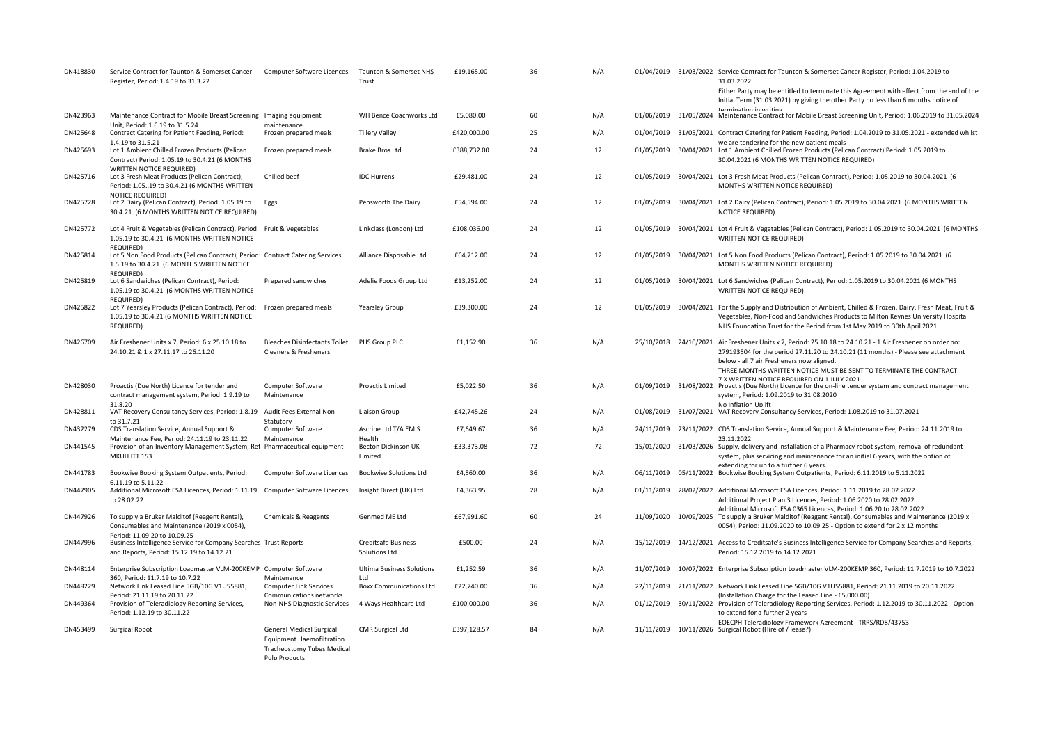| DN418830 | Service Contract for Taunton & Somerset Cancer<br>Register, Period: 1.4.19 to 31.3.22                                                         | Computer Software Licences                                                                                                       | Taunton & Somerset NHS<br>Trust             | £19,165.00  | 36 | N/A |            | 01/04/2019 31/03/2022 Service Contract for Taunton & Somerset Cancer Register, Period: 1.04.2019 to<br>31.03.2022<br>Either Party may be entitled to terminate this Agreement with effect from the end of the                                                                                                        |
|----------|-----------------------------------------------------------------------------------------------------------------------------------------------|----------------------------------------------------------------------------------------------------------------------------------|---------------------------------------------|-------------|----|-----|------------|----------------------------------------------------------------------------------------------------------------------------------------------------------------------------------------------------------------------------------------------------------------------------------------------------------------------|
| DN423963 | Maintenance Contract for Mobile Breast Screening Imaging equipment                                                                            |                                                                                                                                  | WH Bence Coachworks Ltd                     | £5,080.00   | 60 | N/A |            | Initial Term (31.03.2021) by giving the other Party no less than 6 months notice of<br>termination in writing<br>01/06/2019 31/05/2024 Maintenance Contract for Mobile Breast Screening Unit, Period: 1.06.2019 to 31.05.2024                                                                                        |
| DN425648 | Unit, Period: 1.6.19 to 31.5.24<br>Contract Catering for Patient Feeding, Period:                                                             | maintenance<br>Frozen prepared meals                                                                                             | <b>Tillery Valley</b>                       | £420,000.00 | 25 | N/A |            | 01/04/2019 31/05/2021 Contract Catering for Patient Feeding, Period: 1.04.2019 to 31.05.2021 - extended whilst                                                                                                                                                                                                       |
| DN425693 | 1.4.19 to 31.5.21<br>Lot 1 Ambient Chilled Frozen Products (Pelican<br>Contract) Period: 1.05.19 to 30.4.21 (6 MONTHS                         | Frozen prepared meals                                                                                                            | Brake Bros Ltd                              | £388,732.00 | 24 | 12  |            | we are tendering for the new patient meals<br>01/05/2019 30/04/2021 Lot 1 Ambient Chilled Frozen Products (Pelican Contract) Period: 1.05.2019 to<br>30.04.2021 (6 MONTHS WRITTEN NOTICE REQUIRED)                                                                                                                   |
| DN425716 | <b>WRITTEN NOTICE REQUIRED)</b><br>Lot 3 Fresh Meat Products (Pelican Contract),<br>Period: 1.0519 to 30.4.21 (6 MONTHS WRITTEN               | Chilled beef                                                                                                                     | <b>IDC Hurrens</b>                          | £29,481.00  | 24 | 12  | 01/05/2019 | 30/04/2021 Lot 3 Fresh Meat Products (Pelican Contract), Period: 1.05.2019 to 30.04.2021 (6<br>MONTHS WRITTEN NOTICE REQUIRED)                                                                                                                                                                                       |
| DN425728 | <b>NOTICE REQUIRED)</b><br>Lot 2 Dairy (Pelican Contract), Period: 1.05.19 to<br>30.4.21 (6 MONTHS WRITTEN NOTICE REQUIRED)                   | Eggs                                                                                                                             | Pensworth The Dairy                         | £54,594.00  | 24 | 12  |            | 01/05/2019 30/04/2021 Lot 2 Dairy (Pelican Contract), Period: 1.05.2019 to 30.04.2021 (6 MONTHS WRITTEN<br><b>NOTICE REQUIRED)</b>                                                                                                                                                                                   |
| DN425772 | Lot 4 Fruit & Vegetables (Pelican Contract), Period: Fruit & Vegetables<br>1.05.19 to 30.4.21 (6 MONTHS WRITTEN NOTICE                        |                                                                                                                                  | Linkclass (London) Ltd                      | £108,036.00 | 24 | 12  |            | 01/05/2019 30/04/2021 Lot 4 Fruit & Vegetables (Pelican Contract), Period: 1.05.2019 to 30.04.2021 (6 MONTHS<br>WRITTEN NOTICE REQUIRED)                                                                                                                                                                             |
| DN425814 | REQUIRED)<br>Lot 5 Non Food Products (Pelican Contract), Period: Contract Catering Services<br>1.5.19 to 30.4.21 (6 MONTHS WRITTEN NOTICE     |                                                                                                                                  | Alliance Disposable Ltd                     | £64,712.00  | 24 | 12  |            | 01/05/2019 30/04/2021 Lot 5 Non Food Products (Pelican Contract), Period: 1.05.2019 to 30.04.2021 (6<br>MONTHS WRITTEN NOTICE REQUIRED)                                                                                                                                                                              |
| DN425819 | <b>REQUIRED)</b><br>Lot 6 Sandwiches (Pelican Contract), Period:<br>1.05.19 to 30.4.21 (6 MONTHS WRITTEN NOTICE                               | Prepared sandwiches                                                                                                              | Adelie Foods Group Ltd                      | £13,252.00  | 24 | 12  |            | 01/05/2019 30/04/2021 Lot 6 Sandwiches (Pelican Contract), Period: 1.05.2019 to 30.04.2021 (6 MONTHS<br>WRITTEN NOTICE REQUIRED)                                                                                                                                                                                     |
| DN425822 | <b>REQUIRED)</b><br>Lot 7 Yearsley Products (Pelican Contract), Period:<br>1.05.19 to 30.4.21 (6 MONTHS WRITTEN NOTICE<br>REQUIRED)           | Frozen prepared meals                                                                                                            | <b>Yearsley Group</b>                       | £39,300.00  | 24 | 12  |            | 01/05/2019 30/04/2021 For the Supply and Distribution of Ambient, Chilled & Frozen, Dairy, Fresh Meat, Fruit &<br>Vegetables, Non-Food and Sandwiches Products to Milton Keynes University Hospital<br>NHS Foundation Trust for the Period from 1st May 2019 to 30th April 2021                                      |
| DN426709 | Air Freshener Units x 7, Period: 6 x 25.10.18 to<br>24.10.21 & 1 x 27.11.17 to 26.11.20                                                       | <b>Bleaches Disinfectants Toilet</b><br>Cleaners & Fresheners                                                                    | PHS Group PLC                               | £1.152.90   | 36 | N/A |            | 25/10/2018 24/10/2021 Air Freshener Units x 7, Period: 25.10.18 to 24.10.21 - 1 Air Freshener on order no:<br>279193504 for the period 27.11.20 to 24.10.21 (11 months) - Please see attachment                                                                                                                      |
| DN428030 | Proactis (Due North) Licence for tender and<br>contract management system, Period: 1.9.19 to                                                  | Computer Software<br>Maintenance                                                                                                 | Proactis Limited                            | £5,022.50   | 36 | N/A |            | below - all 7 air Fresheners now aligned.<br>THREE MONTHS WRITTEN NOTICE MUST BE SENT TO TERMINATE THE CONTRACT:<br>7 X WRITTEN NOTICE REOURED ON 1 JULY 2021<br>01/09/2019 31/08/2022 Proactis (Due North) Licence for the on-line tender system and contract management<br>system, Period: 1.09.2019 to 31.08.2020 |
| DN428811 | 31.8.20<br>VAT Recovery Consultancy Services, Period: 1.8.19 Audit Fees External Non                                                          |                                                                                                                                  | Liaison Group                               | £42,745.26  | 24 | N/A |            | <b>No Inflation Uplift</b><br>01/08/2019 31/07/2021 VAT Recovery Consultancy Services, Period: 1.08.2019 to 31.07.2021                                                                                                                                                                                               |
| DN432279 | to 31.7.21<br>CDS Translation Service, Annual Support &                                                                                       | Statutory<br>Computer Software                                                                                                   | Ascribe Ltd T/A EMIS                        | £7,649.67   | 36 | N/A |            | 24/11/2019 23/11/2022 CDS Translation Service, Annual Support & Maintenance Fee, Period: 24.11.2019 to                                                                                                                                                                                                               |
| DN441545 | Maintenance Fee, Period: 24.11.19 to 23.11.22<br>Provision of an Inventory Management System, Ref Pharmaceutical equipment<br>MKUH ITT 153    | Maintenance                                                                                                                      | Health<br>Becton Dickinson UK<br>Limited    | £33,373.08  | 72 | 72  | 15/01/2020 | 23.11.2022<br>31/03/2026 Supply, delivery and installation of a Pharmacy robot system, removal of redundant<br>system, plus servicing and maintenance for an initial 6 years, with the option of                                                                                                                     |
| DN441783 | Bookwise Booking System Outpatients, Period:                                                                                                  | Computer Software Licences                                                                                                       | <b>Bookwise Solutions Ltd</b>               | £4,560.00   | 36 | N/A | 06/11/2019 | extending for up to a further 6 years.<br>05/11/2022 Bookwise Booking System Outpatients, Period: 6.11.2019 to 5.11.2022                                                                                                                                                                                             |
| DN447905 | 6.11.19 to 5.11.22<br>Additional Microsoft ESA Licences, Period: 1.11.19 Computer Software Licences<br>to 28.02.22                            |                                                                                                                                  | Insight Direct (UK) Ltd                     | £4,363.95   | 28 | N/A |            | 01/11/2019 28/02/2022 Additional Microsoft ESA Licences, Period: 1.11.2019 to 28.02.2022<br>Additional Project Plan 3 Licences, Period: 1.06.2020 to 28.02.2022                                                                                                                                                      |
| DN447926 | To supply a Bruker Malditof (Reagent Rental),<br>Consumables and Maintenance (2019 x 0054),                                                   | Chemicals & Reagents                                                                                                             | Genmed ME Ltd                               | £67,991.60  | 60 | 24  |            | Additional Microsoft ESA 0365 Licences. Period: 1.06.20 to 28.02.2022<br>11/09/2020 10/09/2025 To supply a Bruker Malditof (Reagent Rental), Consumables and Maintenance (2019 x<br>0054), Period: 11.09.2020 to 10.09.25 - Option to extend for 2 x 12 months                                                       |
| DN447996 | Period: 11.09.20 to 10.09.25<br>Business Intelligence Service for Company Searches Trust Reports<br>and Reports, Period: 15.12.19 to 14.12.21 |                                                                                                                                  | <b>Creditsafe Business</b><br>Solutions Ltd | £500.00     | 24 | N/A | 15/12/2019 | 14/12/2021 Access to Creditsafe's Business Intelligence Service for Company Searches and Reports,<br>Period: 15.12.2019 to 14.12.2021                                                                                                                                                                                |
| DN448114 | Enterprise Subscription Loadmaster VLM-200KEMP Computer Software                                                                              |                                                                                                                                  | <b>Ultima Business Solutions</b>            | £1,252.59   | 36 | N/A | 11/07/2019 | 10/07/2022 Enterprise Subscription Loadmaster VLM-200KEMP 360, Period: 11.7.2019 to 10.7.2022                                                                                                                                                                                                                        |
| DN449229 | 360, Period: 11.7.19 to 10.7.22<br>Network Link Leased Line 5GB/10G V1U55881,<br>Period: 21.11.19 to 20.11.22                                 | Maintenance<br><b>Computer Link Services</b><br>Communications networks                                                          | Ltd<br><b>Boxx Communications Ltd</b>       | £22,740.00  | 36 | N/A |            | 22/11/2019 21/11/2022 Network Link Leased Line 5GB/10G V1U55881, Period: 21.11.2019 to 20.11.2022<br>(Installation Charge for the Leased Line - £5,000.00)                                                                                                                                                           |
| DN449364 | Provision of Teleradiology Reporting Services,<br>Period: 1.12.19 to 30.11.22                                                                 | Non-NHS Diagnostic Services                                                                                                      | 4 Ways Healthcare Ltd                       | £100,000.00 | 36 | N/A |            | 01/12/2019 30/11/2022 Provision of Teleradiology Reporting Services, Period: 1.12.2019 to 30.11.2022 - Option<br>to extend for a further 2 years                                                                                                                                                                     |
| DN453499 | Surgical Robot                                                                                                                                | <b>General Medical Surgical</b><br><b>Equipment Haemofiltration</b><br><b>Tracheostomy Tubes Medical</b><br><b>Puln Products</b> | <b>CMR Surgical Ltd</b>                     | £397,128.57 | 84 | N/A |            | EOECPH Teleradiology Framework Agreement - TRRS/RD8/43753<br>11/11/2019 10/11/2026 Surgical Robot (Hire of / lease?)                                                                                                                                                                                                 |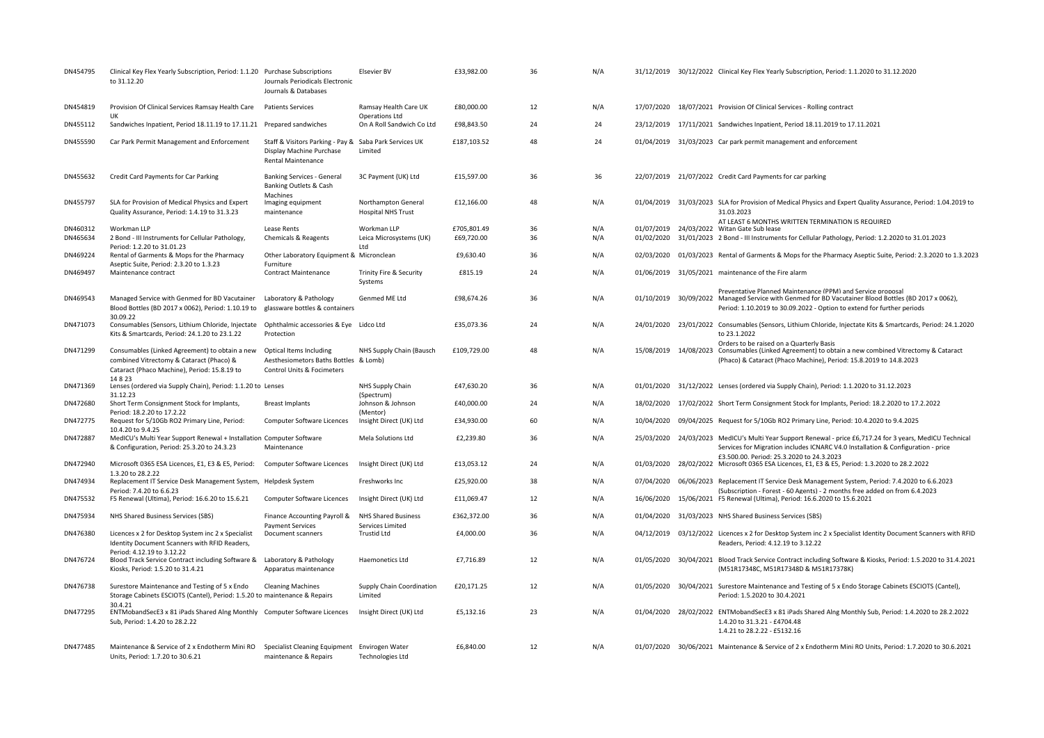| DN454795 | Clinical Key Flex Yearly Subscription, Period: 1.1.20 Purchase Subscriptions<br>to 31.12.20                                                | Journals Periodicals Electronic<br>Journals & Databases                                                         | <b>Elsevier BV</b>                               | £33,982.00  | 36 | N/A |            | 31/12/2019 30/12/2022 Clinical Key Flex Yearly Subscription, Period: 1.1.2020 to 31.12.2020                                                                                                                                                  |
|----------|--------------------------------------------------------------------------------------------------------------------------------------------|-----------------------------------------------------------------------------------------------------------------|--------------------------------------------------|-------------|----|-----|------------|----------------------------------------------------------------------------------------------------------------------------------------------------------------------------------------------------------------------------------------------|
| DN454819 | Provision Of Clinical Services Ramsay Health Care<br><b>IIK</b>                                                                            | <b>Patients Services</b>                                                                                        | Ramsay Health Care UK                            | £80,000.00  | 12 | N/A |            | 17/07/2020 18/07/2021 Provision Of Clinical Services - Rolling contract                                                                                                                                                                      |
| DN455112 | Sandwiches Inpatient, Period 18.11.19 to 17.11.21 Prepared sandwiches                                                                      |                                                                                                                 | Operations Ltd<br>On A Roll Sandwich Co Ltd      | £98,843.50  | 24 | 24  |            | 23/12/2019 17/11/2021 Sandwiches Inpatient, Period 18.11.2019 to 17.11.2021                                                                                                                                                                  |
| DN455590 | Car Park Permit Management and Enforcement                                                                                                 | Staff & Visitors Parking - Pay & Saba Park Services UK<br>Display Machine Purchase<br><b>Rental Maintenance</b> | Limited                                          | £187,103.52 | 48 | 24  |            | 01/04/2019 31/03/2023 Car park permit management and enforcement                                                                                                                                                                             |
| DN455632 | Credit Card Payments for Car Parking                                                                                                       | <b>Banking Services - General</b><br>Banking Outlets & Cash<br>Machines                                         | 3C Payment (UK) Ltd                              | £15,597.00  | 36 | 36  |            | 22/07/2019 21/07/2022 Credit Card Payments for car parking                                                                                                                                                                                   |
| DN455797 | SLA for Provision of Medical Physics and Expert<br>Quality Assurance, Period: 1.4.19 to 31.3.23                                            | Imaging equipment<br>maintenance                                                                                | Northampton General<br><b>Hospital NHS Trust</b> | £12,166.00  | 48 | N/A |            | 01/04/2019 31/03/2023 SLA for Provision of Medical Physics and Expert Quality Assurance, Period: 1.04.2019 to<br>31.03.2023                                                                                                                  |
| DN460312 | Workman LLP                                                                                                                                | Lease Rents                                                                                                     | Workman LLP                                      | £705.801.49 | 36 | N/A |            | AT LEAST 6 MONTHS WRITTEN TERMINATION IS REQUIRED<br>01/07/2019 24/03/2022 Witan Gate Sub lease                                                                                                                                              |
| DN465634 | 2 Bond - III Instruments for Cellular Pathology,<br>Period: 1.2.20 to 31.01.23                                                             | Chemicals & Reagents                                                                                            | Leica Microsystems (UK)<br>Ltd                   | £69,720.00  | 36 | N/A |            | 01/02/2020 31/01/2023 2 Bond - III Instruments for Cellular Pathology, Period: 1.2.2020 to 31.01.2023                                                                                                                                        |
| DN469224 | Rental of Garments & Mops for the Pharmacy                                                                                                 | Other Laboratory Equipment & Micronclean<br>Furniture                                                           |                                                  | £9,630.40   | 36 | N/A | 02/03/2020 | 01/03/2023 Rental of Garments & Mops for the Pharmacy Aseptic Suite, Period: 2.3.2020 to 1.3.2023                                                                                                                                            |
| DN469497 | Aseptic Suite, Period: 2.3.20 to 1.3.23<br>Maintenance contract                                                                            | <b>Contract Maintenance</b>                                                                                     | Trinity Fire & Security<br>Systems               | £815.19     | 24 | N/A |            | 01/06/2019 31/05/2021 maintenance of the Fire alarm                                                                                                                                                                                          |
| DN469543 | Managed Service with Genmed for BD Vacutainer<br>Blood Bottles (BD 2017 x 0062), Period: 1.10.19 to                                        | Laboratory & Pathology<br>glassware bottles & containers                                                        | Genmed ME Ltd                                    | £98,674.26  | 36 | N/A |            | Preventative Planned Maintenance (PPM) and Service proposal<br>01/10/2019 30/09/2022 Managed Service with Genmed for BD Vacutainer Blood Bottles (BD 2017 x 0062),<br>Period: 1.10.2019 to 30.09.2022 - Option to extend for further periods |
| DN471073 | 30.09.22<br>Consumables (Sensors, Lithium Chloride, Injectate<br>Kits & Smartcards, Period: 24.1.20 to 23.1.22                             | Ophthalmic accessories & Eye Lidco Ltd<br>Protection                                                            |                                                  | £35,073.36  | 24 | N/A |            | 24/01/2020 23/01/2022 Consumables (Sensors, Lithium Chloride, Injectate Kits & Smartcards, Period: 24.1.2020<br>to 23.1.2022                                                                                                                 |
| DN471299 | Consumables (Linked Agreement) to obtain a new<br>combined Vitrectomy & Cataract (Phaco) &<br>Cataract (Phaco Machine), Period: 15.8.19 to | Optical Items Including<br>Aesthesiometors Baths Bottles & Lomb)<br>Control Units & Focimeters                  | NHS Supply Chain (Bausch                         | £109,729.00 | 48 | N/A | 15/08/2019 | Orders to be raised on a Quarterly Basis<br>14/08/2023 Consumables (Linked Agreement) to obtain a new combined Vitrectomy & Cataract<br>(Phaco) & Cataract (Phaco Machine), Period: 15.8.2019 to 14.8.2023                                   |
| DN471369 | 14823<br>Lenses (ordered via Supply Chain), Period: 1.1.20 to Lenses<br>31.12.23                                                           |                                                                                                                 | NHS Supply Chain<br>(Spectrum)                   | £47,630.20  | 36 | N/A | 01/01/2020 | 31/12/2022 Lenses (ordered via Supply Chain), Period: 1.1.2020 to 31.12.2023                                                                                                                                                                 |
| DN472680 | Short Term Consignment Stock for Implants,<br>Period: 18.2.20 to 17.2.22                                                                   | <b>Breast Implants</b>                                                                                          | Johnson & Johnson<br>(Mentor)                    | £40,000.00  | 24 | N/A | 18/02/2020 | 17/02/2022 Short Term Consignment Stock for Implants, Period: 18.2.2020 to 17.2.2022                                                                                                                                                         |
| DN472775 | Request for 5/10Gb RO2 Primary Line, Period:<br>10.4.20 to 9.4.25                                                                          | Computer Software Licences                                                                                      | Insight Direct (UK) Ltd                          | £34,930.00  | 60 | N/A | 10/04/2020 | 09/04/2025 Request for 5/10Gb RO2 Primary Line, Period: 10.4.2020 to 9.4.2025                                                                                                                                                                |
| DN472887 | MedICU's Multi Year Support Renewal + Installation Computer Software<br>& Configuration, Period: 25.3.20 to 24.3.23                        | Maintenance                                                                                                     | Mela Solutions Ltd                               | £2,239.80   | 36 | N/A | 25/03/2020 | 24/03/2023 MedICU's Multi Year Support Renewal - price £6,717.24 for 3 years, MedICU Technical<br>Services for Migration includes ICNARC V4.0 Installation & Configuration - price                                                           |
| DN472940 | Microsoft 0365 ESA Licences, E1, E3 & E5, Period:                                                                                          | Computer Software Licences                                                                                      | Insight Direct (UK) Ltd                          | £13,053.12  | 24 | N/A | 01/03/2020 | £3.500.00. Period: 25.3.2020 to 24.3.2023<br>28/02/2022 Microsoft 0365 ESA Licences, E1, E3 & E5, Period: 1.3.2020 to 28.2.2022                                                                                                              |
| DN474934 | 1.3.20 to 28.2.22<br>Replacement IT Service Desk Management System, Helpdesk System<br>Period: 7.4.20 to 6.6.23                            |                                                                                                                 | Freshworks Inc                                   | £25,920.00  | 38 | N/A | 07/04/2020 | 06/06/2023 Replacement IT Service Desk Management System, Period: 7.4.2020 to 6.6.2023<br>(Subscription - Forest - 60 Agents) - 2 months free added on from 6.4.2023                                                                         |
| DN475532 | F5 Renewal (Ultima), Period: 16.6.20 to 15.6.21                                                                                            | Computer Software Licences                                                                                      | Insight Direct (UK) Ltd                          | £11,069.47  | 12 | N/A | 16/06/2020 | 15/06/2021 F5 Renewal (Ultima), Period: 16.6.2020 to 15.6.2021                                                                                                                                                                               |
| DN475934 | NHS Shared Business Services (SBS)                                                                                                         | Finance Accounting Payroll &<br><b>Payment Services</b>                                                         | <b>NHS Shared Business</b><br>Services Limited   | £362,372.00 | 36 | N/A | 01/04/2020 | 31/03/2023 NHS Shared Business Services (SBS)                                                                                                                                                                                                |
| DN476380 | Licences x 2 for Desktop System inc 2 x Specialist<br>Identity Document Scanners with RFID Readers,<br>Period: 4.12.19 to 3.12.22          | Document scanners                                                                                               | <b>Trustid Ltd</b>                               | £4,000.00   | 36 | N/A | 04/12/2019 | 03/12/2022 Licences x 2 for Desktop System inc 2 x Specialist Identity Document Scanners with RFID<br>Readers, Period: 4.12.19 to 3.12.22                                                                                                    |
| DN476724 | Blood Track Service Contract including Software & Laboratory & Pathology<br>Kiosks, Period: 1.5.20 to 31.4.21                              | Apparatus maintenance                                                                                           | Haemonetics Ltd                                  | £7,716.89   | 12 | N/A | 01/05/2020 | 30/04/2021 Blood Track Service Contract including Software & Kiosks, Period: 1.5.2020 to 31.4.2021<br>(M51R17348C, M51R17348D & M51R17378K)                                                                                                  |
| DN476738 | Surestore Maintenance and Testing of 5 x Endo<br>Storage Cabinets ESCIOTS (Cantel), Period: 1.5.20 to maintenance & Repairs                | <b>Cleaning Machines</b>                                                                                        | Supply Chain Coordination<br>Limited             | £20,171.25  | 12 | N/A |            | 01/05/2020 30/04/2021 Surestore Maintenance and Testing of 5 x Endo Storage Cabinets ESCIOTS (Cantel),<br>Period: 1.5.2020 to 30.4.2021                                                                                                      |
| DN477295 | 30.4.21<br>ENTMobandSecE3 x 81 iPads Shared Alng Monthly Computer Software Licences<br>Sub, Period: 1.4.20 to 28.2.22                      |                                                                                                                 | Insight Direct (UK) Ltd                          | £5,132.16   | 23 | N/A |            | 01/04/2020 28/02/2022 ENTMobandSecE3 x 81 iPads Shared Alng Monthly Sub, Period: 1.4.2020 to 28.2.2022<br>1.4.20 to 31.3.21 - £4704.48<br>1.4.21 to 28.2.22 - £5132.16                                                                       |
| DN477485 | Maintenance & Service of 2 x Endotherm Mini RO Specialist Cleaning Equipment Envirogen Water<br>Units. Period: 1.7.20 to 30.6.21           | maintenance & Repairs                                                                                           | <b>Technologies Ltd</b>                          | £6,840.00   | 12 | N/A |            | 01/07/2020 30/06/2021 Maintenance & Service of 2 x Endotherm Mini RO Units, Period: 1.7.2020 to 30.6.2021                                                                                                                                    |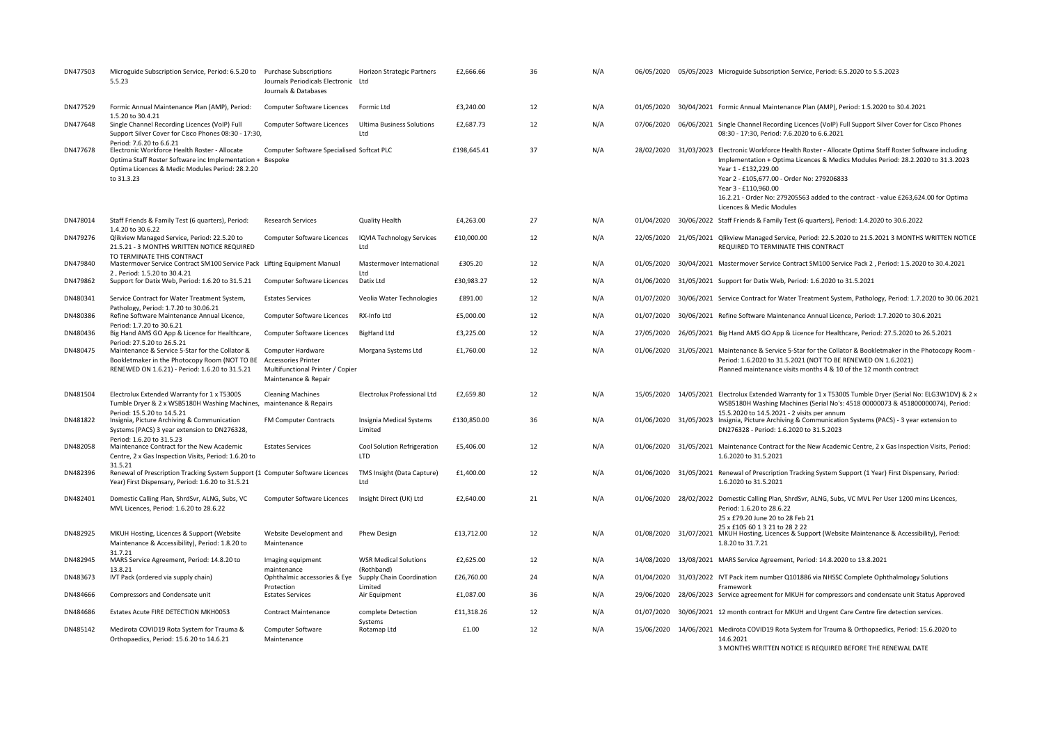| DN477503 | Microguide Subscription Service, Period: 6.5.20 to Purchase Subscriptions<br>5.5.23                                                                                                                     | Journals Periodicals Electronic Ltd<br>Journals & Databases                                                 | <b>Horizon Strategic Partners</b>          | £2,666.66   | 36 | N/A |            | 06/05/2020 05/05/2023 Microguide Subscription Service, Period: 6.5.2020 to 5.5.2023                                                                                                                                                                                                                                                                                                                            |
|----------|---------------------------------------------------------------------------------------------------------------------------------------------------------------------------------------------------------|-------------------------------------------------------------------------------------------------------------|--------------------------------------------|-------------|----|-----|------------|----------------------------------------------------------------------------------------------------------------------------------------------------------------------------------------------------------------------------------------------------------------------------------------------------------------------------------------------------------------------------------------------------------------|
| DN477529 | Formic Annual Maintenance Plan (AMP), Period:                                                                                                                                                           | Computer Software Licences                                                                                  | Formic Ltd                                 | £3,240.00   | 12 | N/A | 01/05/2020 | 30/04/2021 Formic Annual Maintenance Plan (AMP), Period: 1.5.2020 to 30.4.2021                                                                                                                                                                                                                                                                                                                                 |
| DN477648 | 1.5.20 to 30.4.21<br>Single Channel Recording Licences (VoIP) Full<br>Support Silver Cover for Cisco Phones 08:30 - 17:30,                                                                              | Computer Software Licences                                                                                  | <b>Ultima Business Solutions</b><br>Ltd    | £2,687.73   | 12 | N/A | 07/06/2020 | 06/06/2021 Single Channel Recording Licences (VoIP) Full Support Silver Cover for Cisco Phones<br>08:30 - 17:30, Period: 7.6.2020 to 6.6.2021                                                                                                                                                                                                                                                                  |
| DN477678 | Period: 7.6.20 to 6.6.21<br>Electronic Workforce Health Roster - Allocate<br>Optima Staff Roster Software inc Implementation + Bespoke<br>Optima Licences & Medic Modules Period: 28.2.20<br>to 31.3.23 | Computer Software Specialised Softcat PLC                                                                   |                                            | £198.645.41 | 37 | N/A |            | 28/02/2020 31/03/2023 Electronic Workforce Health Roster - Allocate Optima Staff Roster Software including<br>Implementation + Optima Licences & Medics Modules Period: 28.2.2020 to 31.3.2023<br>Year 1 - £132.229.00<br>Year 2 - £105,677.00 - Order No: 279206833<br>Year 3 - £110,960.00<br>16.2.21 - Order No: 279205563 added to the contract - value £263,624.00 for Optima<br>Licences & Medic Modules |
| DN478014 | Staff Friends & Family Test (6 quarters), Period:<br>1.4.20 to 30.6.22                                                                                                                                  | <b>Research Services</b>                                                                                    | Quality Health                             | £4,263.00   | 27 | N/A | 01/04/2020 | 30/06/2022 Staff Friends & Family Test (6 quarters), Period: 1.4.2020 to 30.6.2022                                                                                                                                                                                                                                                                                                                             |
| DN479276 | Qlikview Managed Service, Period: 22.5.20 to<br>21.5.21 - 3 MONTHS WRITTEN NOTICE REQUIRED<br>TO TERMINATE THIS CONTRACT                                                                                | <b>Computer Software Licences</b>                                                                           | <b>IQVIA Technology Services</b><br>Ltd    | £10,000.00  | 12 | N/A | 22/05/2020 | 21/05/2021 Qlikview Managed Service, Period: 22.5.2020 to 21.5.2021 3 MONTHS WRITTEN NOTICE<br>REQUIRED TO TERMINATE THIS CONTRACT                                                                                                                                                                                                                                                                             |
| DN479840 | Mastermover Service Contract SM100 Service Pack Lifting Equipment Manual<br>2, Period: 1.5.20 to 30.4.21                                                                                                |                                                                                                             | Mastermover International<br>Ltd           | £305.20     | 12 | N/A | 01/05/2020 | 30/04/2021 Mastermover Service Contract SM100 Service Pack 2, Period: 1.5.2020 to 30.4.2021                                                                                                                                                                                                                                                                                                                    |
| DN479862 | Support for Datix Web, Period: 1.6.20 to 31.5.21                                                                                                                                                        | Computer Software Licences                                                                                  | Datix Ltd                                  | £30,983.27  | 12 | N/A | 01/06/2020 | 31/05/2021 Support for Datix Web, Period: 1.6.2020 to 31.5.2021                                                                                                                                                                                                                                                                                                                                                |
| DN480341 | Service Contract for Water Treatment System,                                                                                                                                                            | <b>Estates Services</b>                                                                                     | Veolia Water Technologies                  | £891.00     | 12 | N/A | 01/07/2020 | 30/06/2021 Service Contract for Water Treatment System, Pathology, Period: 1.7.2020 to 30.06.2021                                                                                                                                                                                                                                                                                                              |
| DN480386 | Pathology, Period: 1.7.20 to 30.06.21<br>Refine Software Maintenance Annual Licence,                                                                                                                    | Computer Software Licences                                                                                  | RX-Info Ltd                                | £5,000.00   | 12 | N/A | 01/07/2020 | 30/06/2021 Refine Software Maintenance Annual Licence, Period: 1.7.2020 to 30.6.2021                                                                                                                                                                                                                                                                                                                           |
| DN480436 | Period: 1.7.20 to 30.6.21<br>Big Hand AMS GO App & Licence for Healthcare,                                                                                                                              | Computer Software Licences                                                                                  | <b>BigHand Ltd</b>                         | £3,225.00   | 12 | N/A | 27/05/2020 | 26/05/2021 Big Hand AMS GO App & Licence for Healthcare, Period: 27.5.2020 to 26.5.2021                                                                                                                                                                                                                                                                                                                        |
| DN480475 | Period: 27.5.20 to 26.5.21<br>Maintenance & Service 5-Star for the Collator &<br>Bookletmaker in the Photocopy Room (NOT TO BE<br>RENEWED ON 1.6.21) - Period: 1.6.20 to 31.5.21                        | Computer Hardware<br><b>Accessories Printer</b><br>Multifunctional Printer / Copier<br>Maintenance & Repair | Morgana Systems Ltd                        | £1,760.00   | 12 | N/A |            | 01/06/2020 31/05/2021 Maintenance & Service 5-Star for the Collator & Bookletmaker in the Photocopy Room -<br>Period: 1.6.2020 to 31.5.2021 (NOT TO BE RENEWED ON 1.6.2021)<br>Planned maintenance visits months 4 & 10 of the 12 month contract                                                                                                                                                               |
| DN481504 | Electrolux Extended Warranty for 1 x T5300S<br>Tumble Dryer & 2 x WSB5180H Washing Machines, maintenance & Repairs                                                                                      | <b>Cleaning Machines</b>                                                                                    | Electrolux Professional Ltd                | £2,659.80   | 12 | N/A | 15/05/2020 | 14/05/2021 Electrolux Extended Warranty for 1 x T5300S Tumble Dryer (Serial No: ELG3W1DV) & 2 x<br>WSB5180H Washing Machines (Serial No's: 4518 00000073 & 451800000074), Period:                                                                                                                                                                                                                              |
| DN481822 | Period: 15.5.20 to 14.5.21<br>Insignia, Picture Archiving & Communication<br>Systems (PACS) 3 year extension to DN276328,<br>Period: 1.6.20 to 31.5.23                                                  | FM Computer Contracts                                                                                       | Insignia Medical Systems<br>Limited        | £130,850.00 | 36 | N/A |            | 15.5.2020 to 14.5.2021 - 2 visits per annum<br>01/06/2020 31/05/2023 Insignia, Picture Archiving & Communication Systems (PACS) - 3 year extension to<br>DN276328 - Period: 1.6.2020 to 31.5.2023                                                                                                                                                                                                              |
| DN482058 | Maintenance Contract for the New Academic<br>Centre, 2 x Gas Inspection Visits, Period: 1.6.20 to<br>31.5.21                                                                                            | <b>Estates Services</b>                                                                                     | Cool Solution Refrigeration<br><b>LTD</b>  | £5,406.00   | 12 | N/A | 01/06/2020 | 31/05/2021 Maintenance Contract for the New Academic Centre, 2 x Gas Inspection Visits, Period:<br>1.6.2020 to 31.5.2021                                                                                                                                                                                                                                                                                       |
| DN482396 | Renewal of Prescription Tracking System Support (1 Computer Software Licences<br>Year) First Dispensary, Period: 1.6.20 to 31.5.21                                                                      |                                                                                                             | TMS Insight (Data Capture)<br>Ltd          | £1,400.00   | 12 | N/A | 01/06/2020 | 31/05/2021 Renewal of Prescription Tracking System Support (1 Year) First Dispensary, Period:<br>1.6.2020 to 31.5.2021                                                                                                                                                                                                                                                                                         |
| DN482401 | Domestic Calling Plan, ShrdSvr, ALNG, Subs, VC<br>MVL Licences, Period: 1.6.20 to 28.6.22                                                                                                               | Computer Software Licences                                                                                  | Insight Direct (UK) Ltd                    | £2,640.00   | 21 | N/A |            | 01/06/2020 28/02/2022 Domestic Calling Plan, ShrdSvr, ALNG, Subs, VC MVL Per User 1200 mins Licences,<br>Period: 1.6.20 to 28.6.22<br>25 x £79.20 June 20 to 28 Feb 21<br>25 x £105 60 1 3 21 to 28 2 22                                                                                                                                                                                                       |
| DN482925 | MKUH Hosting, Licences & Support (Website<br>Maintenance & Accessibility), Period: 1.8.20 to<br>31.7.21                                                                                                 | Website Development and<br>Maintenance                                                                      | <b>Phew Design</b>                         | £13,712.00  | 12 | N/A | 01/08/2020 | 31/07/2021 MKUH Hosting, Licences & Support (Website Maintenance & Accessibility), Period:<br>1.8.20 to 31.7.21                                                                                                                                                                                                                                                                                                |
| DN482945 | MARS Service Agreement, Period: 14.8.20 to<br>13.8.21                                                                                                                                                   | Imaging equipment<br>maintenance                                                                            | <b>WSR Medical Solutions</b><br>(Rothband) | £2,625.00   | 12 | N/A | 14/08/2020 | 13/08/2021 MARS Service Agreement, Period: 14.8.2020 to 13.8.2021                                                                                                                                                                                                                                                                                                                                              |
| DN483673 | IVT Pack (ordered via supply chain)                                                                                                                                                                     | Ophthalmic accessories & Eye                                                                                | Supply Chain Coordination                  | £26,760.00  | 24 | N/A |            | 01/04/2020 31/03/2022 IVT Pack item number Q101886 via NHSSC Complete Ophthalmology Solutions<br>Framework                                                                                                                                                                                                                                                                                                     |
| DN484666 | Compressors and Condensate unit                                                                                                                                                                         | Protection<br><b>Estates Services</b>                                                                       | Limited<br>Air Equipment                   | £1,087.00   | 36 | N/A | 29/06/2020 | 28/06/2023 Service agreement for MKUH for compressors and condensate unit Status Approved                                                                                                                                                                                                                                                                                                                      |
| DN484686 | Estates Acute FIRE DETECTION MKH0053                                                                                                                                                                    | <b>Contract Maintenance</b>                                                                                 | complete Detection                         | £11,318.26  | 12 | N/A | 01/07/2020 | 30/06/2021 12 month contract for MKUH and Urgent Care Centre fire detection services.                                                                                                                                                                                                                                                                                                                          |
| DN485142 | Medirota COVID19 Rota System for Trauma &<br>Orthopaedics, Period: 15.6.20 to 14.6.21                                                                                                                   | Computer Software<br>Maintenance                                                                            | Systems<br>Rotamap Ltd                     | £1.00       | 12 | N/A | 15/06/2020 | 14/06/2021 Medirota COVID19 Rota System for Trauma & Orthopaedics, Period: 15.6.2020 to<br>14.6.2021<br>3 MONTHS WRITTEN NOTICE IS REQUIRED BEEORE THE RENEWAL DATE                                                                                                                                                                                                                                            |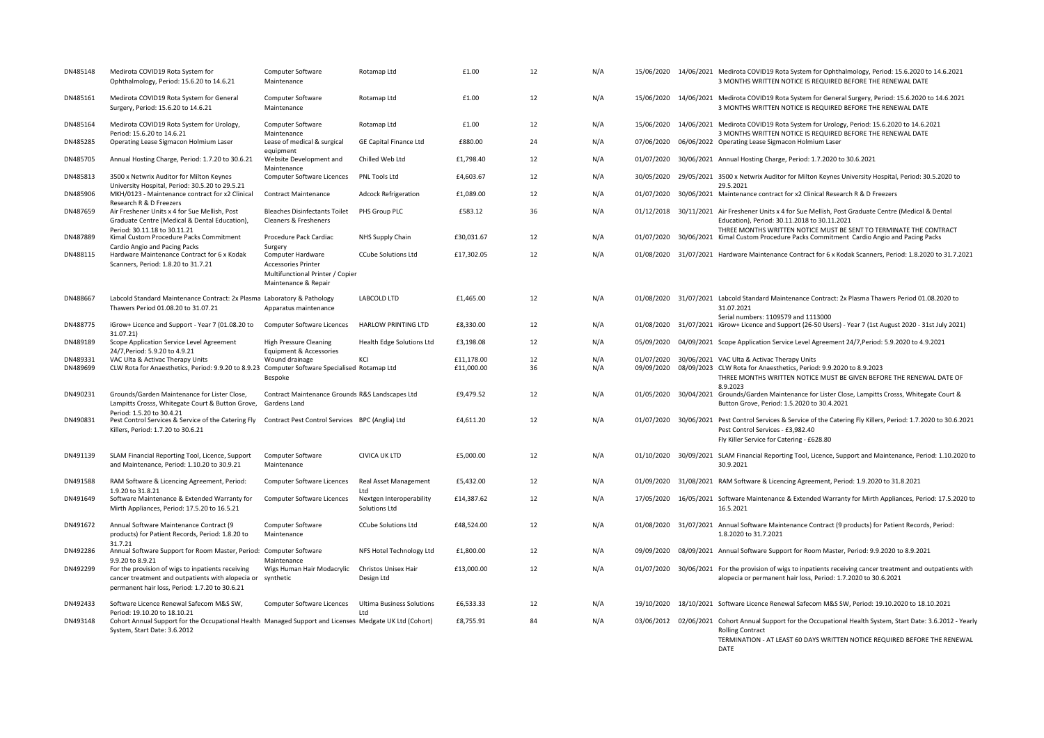| DN485148 | Medirota COVID19 Rota System for<br>Ophthalmology, Period: 15.6.20 to 14.6.21                                                                                          | Computer Software<br>Maintenance                                                                            | Rotamap Ltd                               | £1.00      | 12 | N/A |            |            | 15/06/2020 14/06/2021 Medirota COVID19 Rota System for Ophthalmology, Period: 15.6.2020 to 14.6.2021<br>3 MONTHS WRITTEN NOTICE IS REQUIRED BEFORE THE RENEWAL DATE                                                           |
|----------|------------------------------------------------------------------------------------------------------------------------------------------------------------------------|-------------------------------------------------------------------------------------------------------------|-------------------------------------------|------------|----|-----|------------|------------|-------------------------------------------------------------------------------------------------------------------------------------------------------------------------------------------------------------------------------|
| DN485161 | Medirota COVID19 Rota System for General<br>Surgery, Period: 15.6.20 to 14.6.21                                                                                        | Computer Software<br>Maintenance                                                                            | Rotamap Ltd                               | £1.00      | 12 | N/A | 15/06/2020 |            | 14/06/2021 Medirota COVID19 Rota System for General Surgery, Period: 15.6.2020 to 14.6.2021<br>3 MONTHS WRITTEN NOTICE IS REQUIRED BEFORE THE RENEWAL DATE                                                                    |
| DN485164 | Medirota COVID19 Rota System for Urology,<br>Period: 15.6.20 to 14.6.21                                                                                                | Computer Software<br>Maintenance                                                                            | Rotamap Ltd                               | £1.00      | 12 | N/A |            |            | 15/06/2020 14/06/2021 Medirota COVID19 Rota System for Urology, Period: 15.6.2020 to 14.6.2021<br>3 MONTHS WRITTEN NOTICE IS REQUIRED BEFORE THE RENEWAL DATE                                                                 |
| DN485285 | Operating Lease Sigmacon Holmium Laser                                                                                                                                 | Lease of medical & surgical<br>equipment                                                                    | <b>GE Capital Finance Ltd</b>             | £880.00    | 24 | N/A | 07/06/2020 |            | 06/06/2022 Operating Lease Sigmacon Holmium Laser                                                                                                                                                                             |
| DN485705 | Annual Hosting Charge, Period: 1.7.20 to 30.6.21                                                                                                                       | Website Development and<br>Maintenance                                                                      | Chilled Web Ltd                           | £1,798.40  | 12 | N/A | 01/07/2020 |            | 30/06/2021 Annual Hosting Charge, Period: 1.7.2020 to 30.6.2021                                                                                                                                                               |
| DN485813 | 3500 x Netwrix Auditor for Milton Keynes<br>University Hospital, Period: 30.5.20 to 29.5.21                                                                            | Computer Software Licences                                                                                  | PNL Tools Ltd                             | £4,603.67  | 12 | N/A | 30/05/2020 |            | 29/05/2021 3500 x Netwrix Auditor for Milton Keynes University Hospital, Period: 30.5.2020 to<br>29.5.2021                                                                                                                    |
| DN485906 | MKH/0123 - Maintenance contract for x2 Clinical<br>Research R & D Freezers                                                                                             | <b>Contract Maintenance</b>                                                                                 | <b>Adcock Refrigeration</b>               | £1,089.00  | 12 | N/A | 01/07/2020 |            | 30/06/2021 Maintenance contract for x2 Clinical Research R & D Freezers                                                                                                                                                       |
| DN487659 | Air Freshener Units x 4 for Sue Mellish, Post<br>Graduate Centre (Medical & Dental Education),                                                                         | <b>Bleaches Disinfectants Toilet</b><br>Cleaners & Fresheners                                               | PHS Group PLC                             | £583.12    | 36 | N/A |            |            | 01/12/2018 30/11/2021 Air Freshener Units x 4 for Sue Mellish, Post Graduate Centre (Medical & Dental<br>Education), Period: 30.11.2018 to 30.11.2021                                                                         |
| DN487889 | Period: 30.11.18 to 30.11.21<br>Kimal Custom Procedure Packs Commitment<br>Cardio Angio and Pacing Packs                                                               | Procedure Pack Cardiac<br>Surgery                                                                           | NHS Supply Chain                          | £30,031.67 | 12 | N/A | 01/07/2020 |            | THREE MONTHS WRITTEN NOTICE MUST BE SENT TO TERMINATE THE CONTRACT<br>30/06/2021 Kimal Custom Procedure Packs Commitment Cardio Angio and Pacing Packs                                                                        |
| DN488115 | Hardware Maintenance Contract for 6 x Kodak<br>Scanners, Period: 1.8.20 to 31.7.21                                                                                     | Computer Hardware<br><b>Accessories Printer</b><br>Multifunctional Printer / Copier<br>Maintenance & Repair | <b>CCube Solutions Ltd</b>                | £17,302.05 | 12 | N/A |            |            | 01/08/2020 31/07/2021 Hardware Maintenance Contract for 6 x Kodak Scanners, Period: 1.8.2020 to 31.7.2021                                                                                                                     |
| DN488667 | Labcold Standard Maintenance Contract: 2x Plasma Laboratory & Pathology<br>Thawers Period 01.08.20 to 31.07.21                                                         | Apparatus maintenance                                                                                       | <b>LABCOLD LTD</b>                        | £1,465.00  | 12 | N/A |            |            | 01/08/2020 31/07/2021 Labcold Standard Maintenance Contract: 2x Plasma Thawers Period 01.08.2020 to<br>31.07.2021                                                                                                             |
| DN488775 | iGrow+ Licence and Support - Year 7 (01.08.20 to<br>31.07.21)                                                                                                          | Computer Software Licences                                                                                  | <b>HARLOW PRINTING LTD</b>                | £8,330.00  | 12 | N/A |            |            | Serial numbers: 1109579 and 1113000<br>01/08/2020 31/07/2021 iGrow+ Licence and Support (26-50 Users) - Year 7 (1st August 2020 - 31st July 2021)                                                                             |
| DN489189 | Scope Application Service Level Agreement<br>24/7.Period: 5.9.20 to 4.9.21                                                                                             | <b>High Pressure Cleaning</b><br>Equipment & Accessories                                                    | Health Edge Solutions Ltd                 | £3,198.08  | 12 | N/A | 05/09/2020 |            | 04/09/2021 Scope Application Service Level Agreement 24/7, Period: 5.9.2020 to 4.9.2021                                                                                                                                       |
| DN489331 | VAC Ulta & Activac Therapy Units                                                                                                                                       | Wound drainage                                                                                              | KCI                                       | £11,178.00 | 12 | N/A | 01/07/2020 |            | 30/06/2021 VAC Ulta & Activac Therapy Units                                                                                                                                                                                   |
| DN489699 | CLW Rota for Anaesthetics, Period: 9.9.20 to 8.9.23 Computer Software Specialised Rotamap Ltd                                                                          | Bespoke                                                                                                     |                                           | £11,000.00 | 36 | N/A | 09/09/2020 |            | 08/09/2023 CLW Rota for Anaesthetics, Period: 9.9.2020 to 8.9.2023<br>THREE MONTHS WRITTEN NOTICE MUST BE GIVEN BEFORE THE RENEWAL DATE OF<br>8.9.2023                                                                        |
| DN490231 | Grounds/Garden Maintenance for Lister Close,<br>Lampitts Crosss, Whitegate Court & Button Grove,                                                                       | Contract Maintenance Grounds R&S Landscapes Ltd<br>Gardens Land                                             |                                           | £9,479.52  | 12 | N/A | 01/05/2020 | 30/04/2021 | Grounds/Garden Maintenance for Lister Close, Lampitts Crosss, Whitegate Court &<br>Button Grove, Period: 1.5.2020 to 30.4.2021                                                                                                |
| DN490831 | Period: 1.5.20 to 30.4.21<br>Pest Control Services & Service of the Catering Fly Contract Pest Control Services BPC (Anglia) Ltd<br>Killers, Period: 1.7.20 to 30.6.21 |                                                                                                             |                                           | £4,611.20  | 12 | N/A |            |            | 01/07/2020 30/06/2021 Pest Control Services & Service of the Catering Fly Killers, Period: 1.7.2020 to 30.6.2021<br>Pest Control Services - £3,982.40<br>Fly Killer Service for Catering - £628.80                            |
| DN491139 | SLAM Financial Reporting Tool, Licence, Support<br>and Maintenance, Period: 1.10.20 to 30.9.21                                                                         | Computer Software<br>Maintenance                                                                            | CIVICA UK LTD                             | £5,000.00  | 12 | N/A | 01/10/2020 |            | 30/09/2021 SLAM Financial Reporting Tool, Licence, Support and Maintenance, Period: 1.10.2020 to<br>30.9.2021                                                                                                                 |
| DN491588 | RAM Software & Licencing Agreement, Period:<br>1.9.20 to 31.8.21                                                                                                       | Computer Software Licences                                                                                  | <b>Real Asset Management</b><br>Ltd       | £5,432.00  | 12 | N/A | 01/09/2020 |            | 31/08/2021 RAM Software & Licencing Agreement, Period: 1.9.2020 to 31.8.2021                                                                                                                                                  |
| DN491649 | Software Maintenance & Extended Warranty for<br>Mirth Appliances, Period: 17.5.20 to 16.5.21                                                                           | Computer Software Licences                                                                                  | Nextgen Interoperability<br>Solutions Ltd | £14,387.62 | 12 | N/A |            |            | 17/05/2020 16/05/2021 Software Maintenance & Extended Warranty for Mirth Appliances, Period: 17.5.2020 to<br>16.5.2021                                                                                                        |
| DN491672 | Annual Software Maintenance Contract (9<br>products) for Patient Records, Period: 1.8.20 to<br>31.7.21                                                                 | Computer Software<br>Maintenance                                                                            | <b>CCube Solutions Ltd</b>                | £48,524.00 | 12 | N/A |            |            | 01/08/2020 31/07/2021 Annual Software Maintenance Contract (9 products) for Patient Records, Period:<br>1.8.2020 to 31.7.2021                                                                                                 |
| DN492286 | Annual Software Support for Room Master, Period: Computer Software<br>9.9.20 to 8.9.21                                                                                 | Maintenance                                                                                                 | NFS Hotel Technology Ltd                  | £1,800.00  | 12 | N/A | 09/09/2020 |            | 08/09/2021 Annual Software Support for Room Master, Period: 9.9.2020 to 8.9.2021                                                                                                                                              |
| DN492299 | For the provision of wigs to inpatients receiving<br>cancer treatment and outpatients with alopecia or synthetic<br>permanent hair loss, Period: 1.7.20 to 30.6.21     | Wigs Human Hair Modacrylic                                                                                  | Christos Unisex Hair<br>Design Ltd        | £13,000.00 | 12 | N/A | 01/07/2020 |            | 30/06/2021 For the provision of wigs to inpatients receiving cancer treatment and outpatients with<br>alopecia or permanent hair loss, Period: 1.7.2020 to 30.6.2021                                                          |
| DN492433 | Software Licence Renewal Safecom M&S SW,<br>Period: 19.10.20 to 18.10.21                                                                                               | Computer Software Licences                                                                                  | <b>Ultima Business Solutions</b><br>Ltd   | £6,533.33  | 12 | N/A |            |            | 19/10/2020 18/10/2021 Software Licence Renewal Safecom M&S SW, Period: 19.10.2020 to 18.10.2021                                                                                                                               |
| DN493148 | Cohort Annual Support for the Occupational Health Managed Support and Licenses Medgate UK Ltd (Cohort)<br>System, Start Date: 3.6.2012                                 |                                                                                                             |                                           | £8,755.91  | 84 | N/A |            |            | 03/06/2012 02/06/2021 Cohort Annual Support for the Occupational Health System, Start Date: 3.6.2012 - Yearly<br><b>Rolling Contract</b><br>TERMINATION - AT LEAST 60 DAYS WRITTEN NOTICE REQUIRED BEFORE THE RENEWAL<br>DATE |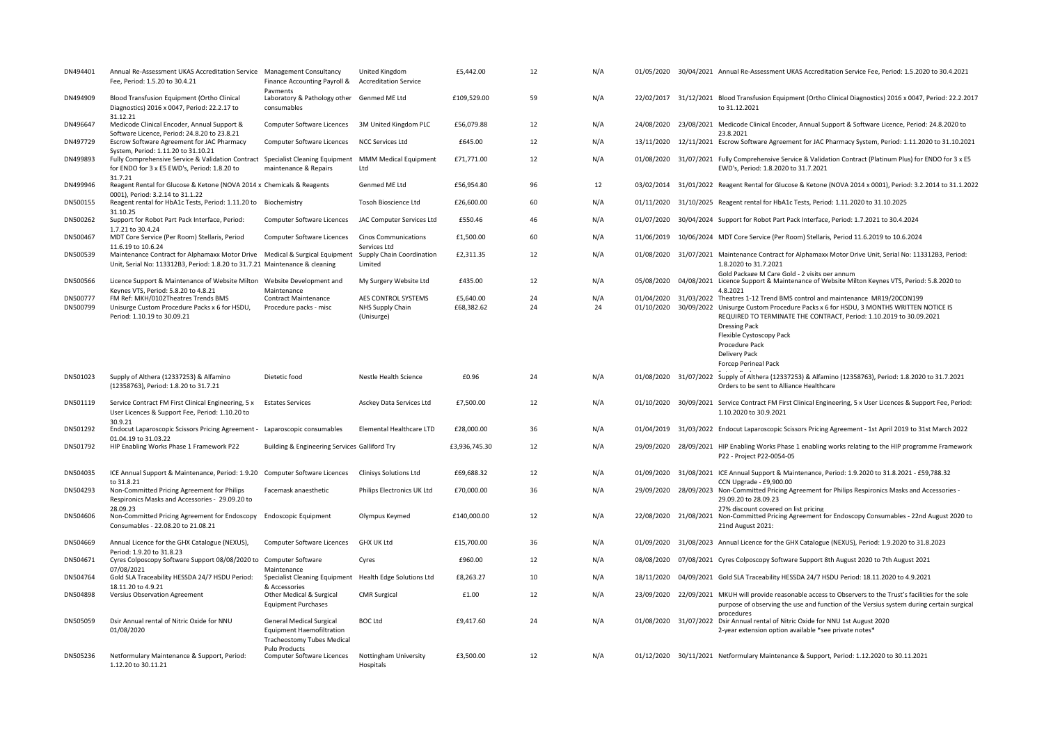| DN494401             | Annual Re-Assessment UKAS Accreditation Service Management Consultancy<br>Fee, Period: 1.5.20 to 30.4.21                                                                             | Finance Accounting Payroll &<br>Payments                                                                 | United Kingdom<br><b>Accreditation Service</b>        | £5,442.00               | 12       | N/A       |            |            | 01/05/2020 30/04/2021 Annual Re-Assessment UKAS Accreditation Service Fee, Period: 1.5.2020 to 30.4.2021                                                                                                                                                                                                                                                                           |
|----------------------|--------------------------------------------------------------------------------------------------------------------------------------------------------------------------------------|----------------------------------------------------------------------------------------------------------|-------------------------------------------------------|-------------------------|----------|-----------|------------|------------|------------------------------------------------------------------------------------------------------------------------------------------------------------------------------------------------------------------------------------------------------------------------------------------------------------------------------------------------------------------------------------|
| DN494909             | Blood Transfusion Equipment (Ortho Clinical<br>Diagnostics) 2016 x 0047, Period: 22.2.17 to<br>31.12.21                                                                              | Laboratory & Pathology other Genmed ME Ltd<br>consumables                                                |                                                       | £109.529.00             | 59       | N/A       |            |            | 22/02/2017 31/12/2021 Blood Transfusion Equipment (Ortho Clinical Diagnostics) 2016 x 0047, Period: 22.2.2017<br>to 31.12.2021                                                                                                                                                                                                                                                     |
| DN496647             | Medicode Clinical Encoder, Annual Support &<br>Software Licence, Period: 24.8.20 to 23.8.21                                                                                          | Computer Software Licences 3M United Kingdom PLC                                                         |                                                       | £56,079.88              | 12       | N/A       | 24/08/2020 |            | 23/08/2021 Medicode Clinical Encoder, Annual Support & Software Licence, Period: 24.8.2020 to<br>23.8.2021                                                                                                                                                                                                                                                                         |
| DN497729             | Escrow Software Agreement for JAC Pharmacy<br>System, Period: 1.11.20 to 31.10.21                                                                                                    | Computer Software Licences                                                                               | <b>NCC Services Ltd</b>                               | £645.00                 | 12       | N/A       | 13/11/2020 |            | 12/11/2021 Escrow Software Agreement for JAC Pharmacy System, Period: 1.11.2020 to 31.10.2021                                                                                                                                                                                                                                                                                      |
| DN499893             | Fully Comprehensive Service & Validation Contract Specialist Cleaning Equipment MMM Medical Equipment<br>for ENDO for 3 x E5 EWD's, Period: 1.8.20 to                                | maintenance & Repairs                                                                                    | Ltd                                                   | £71,771.00              | 12       | N/A       |            |            | 01/08/2020 31/07/2021 Fully Comprehensive Service & Validation Contract (Platinum Plus) for ENDO for 3 x E5<br>EWD's, Period: 1.8.2020 to 31.7.2021                                                                                                                                                                                                                                |
| DN499946             | 31.7.21<br>Reagent Rental for Glucose & Ketone (NOVA 2014 x Chemicals & Reagents<br>0001). Period: 3.2.14 to 31.1.22                                                                 |                                                                                                          | Genmed ME Ltd                                         | £56,954.80              | 96       | 12        |            |            | 03/02/2014 31/01/2022 Reagent Rental for Glucose & Ketone (NOVA 2014 x 0001), Period: 3.2.2014 to 31.1.2022                                                                                                                                                                                                                                                                        |
| DN500155             | Reagent rental for HbA1c Tests, Period: 1.11.20 to Biochemistry<br>31.10.25                                                                                                          |                                                                                                          | Tosoh Bioscience Ltd                                  | £26,600.00              | 60       | N/A       | 01/11/2020 |            | 31/10/2025 Reagent rental for HbA1c Tests, Period: 1.11.2020 to 31.10.2025                                                                                                                                                                                                                                                                                                         |
| DN500262             | Support for Robot Part Pack Interface, Period:<br>1.7.21 to 30.4.24                                                                                                                  | Computer Software Licences                                                                               | JAC Computer Services Ltd                             | £550.46                 | 46       | N/A       | 01/07/2020 |            | 30/04/2024 Support for Robot Part Pack Interface, Period: 1.7.2021 to 30.4.2024                                                                                                                                                                                                                                                                                                    |
| DN500467             | MDT Core Service (Per Room) Stellaris, Period<br>11.6.19 to 10.6.24                                                                                                                  | Computer Software Licences                                                                               | <b>Cinos Communications</b><br>Services Ltd           | £1,500.00               | 60       | N/A       | 11/06/2019 |            | 10/06/2024 MDT Core Service (Per Room) Stellaris, Period 11.6.2019 to 10.6.2024                                                                                                                                                                                                                                                                                                    |
| DN500539             | Maintenance Contract for Alphamaxx Motor Drive Medical & Surgical Equipment Supply Chain Coordination<br>Unit, Serial No: 113312B3, Period: 1.8.20 to 31.7.21 Maintenance & cleaning |                                                                                                          | Limited                                               | £2,311.35               | 12       | N/A       |            |            | 01/08/2020 31/07/2021 Maintenance Contract for Alphamaxx Motor Drive Unit, Serial No: 113312B3, Period:<br>1.8.2020 to 31.7.2021                                                                                                                                                                                                                                                   |
| DN500566             | Licence Support & Maintenance of Website Milton    Vebsite Development and<br>Keynes VTS, Period: 5.8.20 to 4.8.21                                                                   | Maintenance                                                                                              | My Surgery Website Ltd                                | £435.00                 | 12       | N/A       | 05/08/2020 |            | Gold Package M Care Gold - 2 visits per annum<br>04/08/2021 Licence Support & Maintenance of Website Milton Keynes VTS, Period: 5.8.2020 to<br>4.8.2021                                                                                                                                                                                                                            |
| DN500777<br>DN500799 | FM Ref: MKH/0102Theatres Trends BMS<br>Unisurge Custom Procedure Packs x 6 for HSDU,<br>Period: 1.10.19 to 30.09.21                                                                  | Contract Maintenance<br>Procedure packs - misc                                                           | AES CONTROL SYSTEMS<br>NHS Supply Chain<br>(Unisurge) | £5,640.00<br>£68,382.62 | 24<br>24 | N/A<br>24 |            |            | 01/04/2020 31/03/2022 Theatres 1-12 Trend BMS control and maintenance MR19/20CON199<br>01/10/2020 30/09/2022 Unisurge Custom Procedure Packs x 6 for HSDU, 3 MONTHS WRITTEN NOTICE IS<br>REQUIRED TO TERMINATE THE CONTRACT, Period: 1.10.2019 to 30.09.2021<br><b>Dressing Pack</b><br>Flexible Cystoscopy Pack<br>Procedure Pack<br>Delivery Pack<br><b>Forcep Perineal Pack</b> |
| DN501023             | Supply of Althera (12337253) & Alfamino<br>(12358763), Period: 1.8.20 to 31.7.21                                                                                                     | Dietetic food                                                                                            | Nestle Health Science                                 | £0.96                   | 24       | N/A       |            |            | 01/08/2020 31/07/2022 Supply of Althera (12337253) & Alfamino (12358763), Period: 1.8.2020 to 31.7.2021<br>Orders to be sent to Alliance Healthcare                                                                                                                                                                                                                                |
| DN501119             | Service Contract FM First Clinical Engineering, 5 x<br>User Licences & Support Fee, Period: 1.10.20 to                                                                               | <b>Estates Services</b>                                                                                  | Asckey Data Services Ltd                              | £7,500.00               | 12       | N/A       | 01/10/2020 |            | 30/09/2021 Service Contract FM First Clinical Engineering, 5 x User Licences & Support Fee, Period:<br>1.10.2020 to 30.9.2021                                                                                                                                                                                                                                                      |
| DN501292             | 30.9.21<br>Endocut Laparoscopic Scissors Pricing Agreement -                                                                                                                         | Laparoscopic consumables                                                                                 | Elemental Healthcare LTD                              | £28,000.00              | 36       | N/A       |            |            | 01/04/2019 31/03/2022 Endocut Laparoscopic Scissors Pricing Agreement - 1st April 2019 to 31st March 2022                                                                                                                                                                                                                                                                          |
| DN501792             | 01.04.19 to 31.03.22<br>HIP Enabling Works Phase 1 Framework P22                                                                                                                     | Building & Engineering Services Galliford Try                                                            |                                                       | £3,936,745.30           | 12       | N/A       |            |            | 29/09/2020 28/09/2021 HIP Enabling Works Phase 1 enabling works relating to the HIP programme Framework<br>P22 - Project P22-0054-05                                                                                                                                                                                                                                               |
| DN504035             | ICE Annual Support & Maintenance, Period: 1.9.20 Computer Software Licences                                                                                                          |                                                                                                          | <b>Clinisys Solutions Ltd</b>                         | £69,688.32              | 12       | N/A       |            |            | 01/09/2020 31/08/2021 ICE Annual Support & Maintenance, Period: 1.9.2020 to 31.8.2021 - £59,788.32                                                                                                                                                                                                                                                                                 |
| DN504293             | to 31.8.21<br>Non-Committed Pricing Agreement for Philips<br>Respironics Masks and Accessories - 29.09.20 to                                                                         | Facemask anaesthetic                                                                                     | Philips Electronics UK Ltd                            | £70,000.00              | 36       | N/A       |            |            | CCN Upgrade - £9,900.00<br>29/09/2020 28/09/2023 Non-Committed Pricing Agreement for Philips Respironics Masks and Accessories -<br>29.09.20 to 28.09.23                                                                                                                                                                                                                           |
| DN504606             | 28.09.23<br>Non-Committed Pricing Agreement for Endoscopy<br>Consumables - 22.08.20 to 21.08.21                                                                                      | <b>Endoscopic Equipment</b>                                                                              | Olympus Keymed                                        | £140,000.00             | 12       | N/A       | 22/08/2020 | 21/08/2021 | 27% discount covered on list pricing<br>Non-Committed Pricing Agreement for Endoscopy Consumables - 22nd August 2020 to<br>21nd August 2021:                                                                                                                                                                                                                                       |
| DN504669             | Annual Licence for the GHX Catalogue (NEXUS),                                                                                                                                        | Computer Software Licences                                                                               | <b>GHX UK Ltd</b>                                     | £15,700.00              | 36       | N/A       | 01/09/2020 |            | 31/08/2023 Annual Licence for the GHX Catalogue (NEXUS), Period: 1.9.2020 to 31.8.2023                                                                                                                                                                                                                                                                                             |
| DN504671             | Period: 1.9.20 to 31.8.23<br>Cyres Colposcopy Software Support 08/08/2020 to Computer Software                                                                                       |                                                                                                          | Cyres                                                 | £960.00                 | 12       | N/A       | 08/08/2020 |            | 07/08/2021 Cyres Colposcopy Software Support 8th August 2020 to 7th August 2021                                                                                                                                                                                                                                                                                                    |
| DN504764             | 07/08/2021<br>Gold SLA Traceability HESSDA 24/7 HSDU Period:                                                                                                                         | Maintenance<br>Specialist Cleaning Equipment Health Edge Solutions Ltd                                   |                                                       | £8,263.27               | 10       | N/A       |            |            | 18/11/2020 04/09/2021 Gold SLA Traceability HESSDA 24/7 HSDU Period: 18.11.2020 to 4.9.2021                                                                                                                                                                                                                                                                                        |
| DN504898             | 18.11.20 to 4.9.21<br>Versius Observation Agreement                                                                                                                                  | & Accessories<br>Other Medical & Surgical<br><b>Equipment Purchases</b>                                  | <b>CMR Surgical</b>                                   | £1.00                   | 12       | N/A       |            |            | 23/09/2020 22/09/2021 MKUH will provide reasonable access to Observers to the Trust's facilities for the sole<br>purpose of observing the use and function of the Versius system during certain surgical                                                                                                                                                                           |
| DN505059             | Dsir Annual rental of Nitric Oxide for NNU<br>01/08/2020                                                                                                                             | <b>General Medical Surgical</b><br><b>Equipment Haemofiltration</b><br><b>Tracheostomy Tubes Medical</b> | <b>BOC Ltd</b>                                        | £9,417.60               | 24       | N/A       |            |            | procedures<br>01/08/2020 31/07/2022 Dsir Annual rental of Nitric Oxide for NNU 1st August 2020<br>2-year extension option available *see private notes*                                                                                                                                                                                                                            |
| DN505236             | Netformulary Maintenance & Support, Period:<br>1.12.20 to 30.11.21                                                                                                                   | <b>Puln Products</b><br>Computer Software Licences                                                       | Nottingham University<br>Hospitals                    | £3,500.00               | 12       | N/A       |            |            | 01/12/2020 30/11/2021 Netformulary Maintenance & Support, Period: 1.12.2020 to 30.11.2021                                                                                                                                                                                                                                                                                          |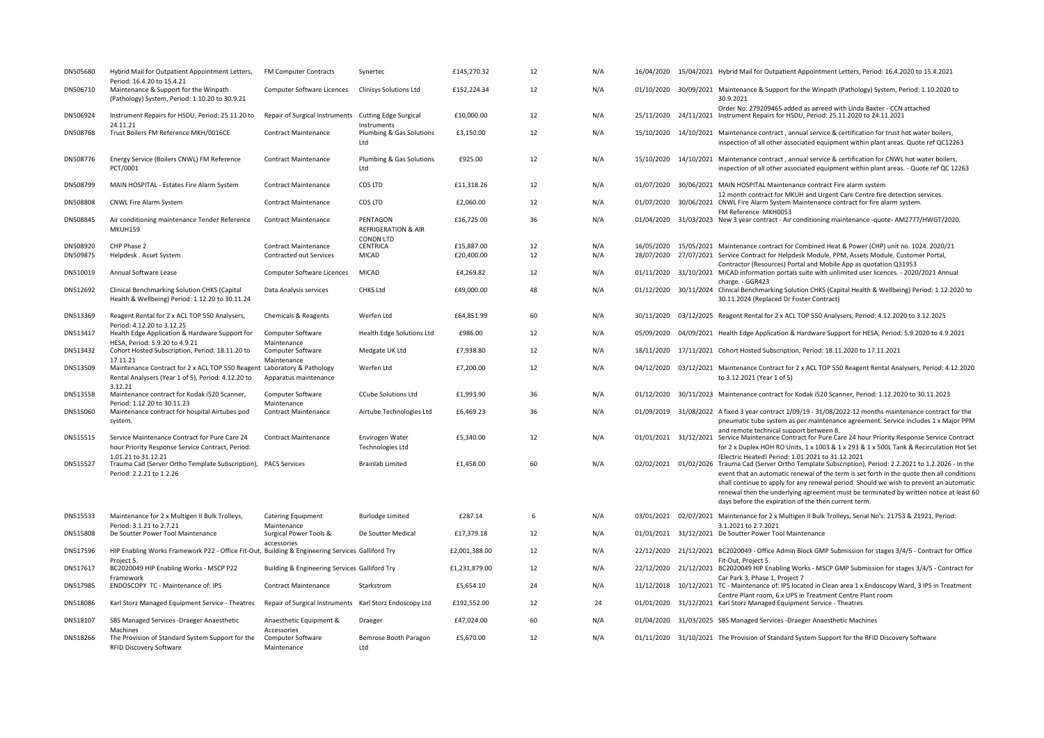| DN505680 | Hybrid Mail for Outpatient Appointment Letters,<br>Period: 16.4.20 to 15.4.21                                                            | FM Computer Contracts                                   | Synertec                                       | £145,270.32   | 12 | N/A |                       | 16/04/2020 15/04/2021 Hybrid Mail for Outpatient Appointment Letters, Period: 16.4.2020 to 15.4.2021                                                                                                                                                                                                                                                                                                                         |
|----------|------------------------------------------------------------------------------------------------------------------------------------------|---------------------------------------------------------|------------------------------------------------|---------------|----|-----|-----------------------|------------------------------------------------------------------------------------------------------------------------------------------------------------------------------------------------------------------------------------------------------------------------------------------------------------------------------------------------------------------------------------------------------------------------------|
| DN506710 | Maintenance & Support for the Winpath<br>(Pathology) System, Period: 1.10.20 to 30.9.21                                                  | Computer Software Licences                              | <b>Clinisys Solutions Ltd</b>                  | £152,224.34   | 12 | N/A |                       | 01/10/2020 30/09/2021 Maintenance & Support for the Winpath (Pathology) System, Period: 1.10.2020 to<br>30.9.2021                                                                                                                                                                                                                                                                                                            |
| DN506924 | Instrument Repairs for HSDU, Period: 25.11.20 to                                                                                         | Repair of Surgical Instruments Cutting Edge Surgical    |                                                | £10,000.00    | 12 | N/A |                       | Order No: 279209465 added as agreed with Linda Baxter - CCN attached<br>25/11/2020 24/11/2021 Instrument Repairs for HSDU, Period: 25.11.2020 to 24.11.2021                                                                                                                                                                                                                                                                  |
| DN508768 | 24.11.21<br>Trust Boilers FM Reference MKH/0016CE                                                                                        | <b>Contract Maintenance</b>                             | Instruments<br>Plumbing & Gas Solutions<br>Ltd | £3,150.00     | 12 | N/A |                       | 15/10/2020 14/10/2021 Maintenance contract, annual service & certification for trust hot water boilers,<br>inspection of all other associated equipment within plant areas. Quote ref QC12263                                                                                                                                                                                                                                |
| DN508776 | Energy Service (Boilers CNWL) FM Reference<br>PCT/0001                                                                                   | Contract Maintenance                                    | Plumbing & Gas Solutions<br>Ltd                | £925.00       | 12 | N/A |                       | 15/10/2020 14/10/2021 Maintenance contract, annual service & certification for CNWL hot water boilers,<br>inspection of all other associated equipment within plant areas. - Quote ref QC 12263                                                                                                                                                                                                                              |
| DN508799 | MAIN HOSPITAL - Estates Fire Alarm System                                                                                                | <b>Contract Maintenance</b>                             | CDS LTD                                        | £11,318.26    | 12 | N/A | 01/07/2020            | 30/06/2021 MAIN HOSPITAL Maintenance contract Fire alarm system<br>12 month contract for MKUH and Urgent Care Centre fire detection services.                                                                                                                                                                                                                                                                                |
| DN508808 | <b>CNWL Fire Alarm System</b>                                                                                                            | <b>Contract Maintenance</b>                             | CDS LTD                                        | £2,060.00     | 12 | N/A |                       | 01/07/2020 30/06/2021 CNWL Fire Alarm System Maintenance contract for fire alarm system.<br>FM Reference MKH0053                                                                                                                                                                                                                                                                                                             |
| DN508845 | Air conditioning maintenance Tender Reference<br>MKUH159                                                                                 | <b>Contract Maintenance</b>                             | PENTAGON<br><b>REFRIGERATION &amp; AIR</b>     | £16,725.00    | 36 | N/A | 01/04/2020            | 31/03/2023 New 3 year contract - Air conditioning maintenance -quote- AM2777/HWGT/2020.                                                                                                                                                                                                                                                                                                                                      |
| DN508920 | CHP Phase 2                                                                                                                              | <b>Contract Maintenance</b>                             | <b>CONDN LTD</b><br>CENTRICA                   | £15,887.00    | 12 | N/A |                       | 16/05/2020 15/05/2021 Maintenance contract for Combined Heat & Power (CHP) unit no. 1024. 2020/21                                                                                                                                                                                                                                                                                                                            |
| DN509875 | Helpdesk . Asset System                                                                                                                  | Contracted out Services                                 | MICAD                                          | £20,400.00    | 12 | N/A | 28/07/2020            | 27/07/2021 Service Contract for Helpdesk Module, PPM, Assets Module, Customer Portal,                                                                                                                                                                                                                                                                                                                                        |
| DN510019 | Annual Software Lease                                                                                                                    | Computer Software Licences                              | MICAD                                          | £4,269.82     | 12 | N/A |                       | Contractor (Resources) Portal and Mobile App as quotation Q31953<br>01/11/2020 31/10/2021 MiCAD information portals suite with unlimited user licences. - 2020/2021 Annual                                                                                                                                                                                                                                                   |
|          |                                                                                                                                          |                                                         |                                                |               |    |     |                       | charge. - GGR423                                                                                                                                                                                                                                                                                                                                                                                                             |
| DN512692 | Clinical Benchmarking Solution CHKS (Capital<br>Health & Wellbeing) Period: 1.12.20 to 30.11.24                                          | Data Analysis services                                  | CHKS Ltd                                       | £49,000.00    | 48 | N/A |                       | 01/12/2020 30/11/2024 Clinical Benchmarking Solution CHKS (Capital Health & Wellbeing) Period: 1.12.2020 to<br>30.11.2024 (Replaced Dr Foster Contract)                                                                                                                                                                                                                                                                      |
| DN513369 | Reagent Rental for 2 x ACL TOP 550 Analysers,<br>Period: 4.12.20 to 3.12.25                                                              | Chemicals & Reagents                                    | Werfen Ltd                                     | £64,851.99    | 60 | N/A | 30/11/2020            | 03/12/2025 Reagent Rental for 2 x ACL TOP 550 Analysers, Period: 4.12.2020 to 3.12.2025                                                                                                                                                                                                                                                                                                                                      |
| DN513417 | Health Edge Application & Hardware Support for<br>HESA, Period: 5.9.20 to 4.9.21                                                         | Computer Software<br>Maintenance                        | Health Edge Solutions Ltd                      | £986.00       | 12 | N/A | 05/09/2020            | 04/09/2021 Health Edge Application & Hardware Support for HESA, Period: 5.9.2020 to 4.9.2021                                                                                                                                                                                                                                                                                                                                 |
| DN513432 | Cohort Hosted Subscription, Period: 18.11.20 to<br>17.11.21                                                                              | Computer Software<br>Maintenance                        | Medgate UK Ltd                                 | £7,938.80     | 12 | N/A | 18/11/2020            | 17/11/2021 Cohort Hosted Subscription, Period: 18.11.2020 to 17.11.2021                                                                                                                                                                                                                                                                                                                                                      |
| DN513509 | Maintenance Contract for 2 x ACL TOP 550 Reagent Laboratory & Pathology<br>Rental Analysers (Year 1 of 5), Period: 4.12.20 to<br>3.12.21 | Apparatus maintenance                                   | Werfen Ltd                                     | £7,200.00     | 12 | N/A |                       | 04/12/2020 03/12/2021 Maintenance Contract for 2 x ACL TOP 550 Reagent Rental Analysers, Period: 4.12.2020<br>to 3.12.2021 (Year 1 of 5)                                                                                                                                                                                                                                                                                     |
| DN513558 | Maintenance contract for Kodak i520 Scanner,<br>Period: 1.12.20 to 30.11.23                                                              | Computer Software<br>Maintenance                        | <b>CCube Solutions Ltd</b>                     | £1,993.90     | 36 | N/A | 01/12/2020            | 30/11/2023 Maintenance contract for Kodak i520 Scanner, Period: 1.12.2020 to 30.11.2023                                                                                                                                                                                                                                                                                                                                      |
| DN515060 | Maintenance contract for hospital Airtubes pod<br>system.                                                                                | <b>Contract Maintenance</b>                             | Airtube Technologies Ltd                       | £6,469.23     | 36 | N/A |                       | 01/09/2019 31/08/2022 A fixed 3 year contract 1/09/19 - 31/08/2022-12 months maintenance contract for the<br>pneumatic tube system as per maintenance agreement. Service includes 1 x Major PPM                                                                                                                                                                                                                              |
| DN515515 | Service Maintenance Contract for Pure Care 24<br>hour Priority Response Service Contract, Period:                                        | <b>Contract Maintenance</b>                             | Envirogen Water<br><b>Technologies Ltd</b>     | £5,340.00     | 12 | N/A |                       | and remote technical support between 8.<br>01/01/2021 31/12/2021 Service Maintenance Contract for Pure Care 24 hour Priority Response Service Contract<br>for 2 x Duplex HOH RO Units, 1 x 1003 & 1 x 293 & 1 x 500L Tank & Recirculation Hot Set                                                                                                                                                                            |
| DN515527 | 1.01.21 to 31.12.21<br>Trauma Cad (Server Ortho Template Subscription), PACS Services<br>Period: 2.2.21 to 1.2.26                        |                                                         | <b>Brainlab Limited</b>                        | £1,458.00     | 60 | N/A | 02/02/2021 01/02/2026 | (Electric Heated) Period: 1.01.2021 to 31.12.2021<br>Trauma Cad (Server Ortho Template Subscription), Period: 2.2.2021 to 1.2.2026 - In the<br>event that an automatic renewal of the term is set forth in the quote then all conditions<br>shall continue to apply for any renewal period. Should we wish to prevent an automatic<br>renewal then the underlying agreement must be terminated by written notice at least 60 |
|          |                                                                                                                                          |                                                         |                                                |               |    |     |                       | days before the expiration of the then current term.                                                                                                                                                                                                                                                                                                                                                                         |
| DN515533 | Maintenance for 2 x Multigen II Bulk Trolleys,                                                                                           | <b>Catering Equipment</b>                               | <b>Burlodge Limited</b>                        | £287.14       | 6  | N/A |                       | 03/01/2021 02/07/2021 Maintenance for 2 x Multigen II Bulk Trolleys, Serial No's: 21753 & 21921, Period:                                                                                                                                                                                                                                                                                                                     |
| DN515808 | Period: 3.1.21 to 2.7.21<br>De Soutter Power Tool Maintenance                                                                            | Maintenance<br>Surgical Power Tools &                   | De Soutter Medical                             | £17,379.18    | 12 | N/A |                       | 3.1.2021 to 2.7.2021<br>01/01/2021 31/12/2021 De Soutter Power Tool Maintenance                                                                                                                                                                                                                                                                                                                                              |
| DN517596 | HIP Enabling Works Framework P22 - Office Fit-Out, Building & Engineering Services Galliford Try                                         | accessories                                             |                                                | £2,001,388.00 | 12 | N/A |                       | 22/12/2020 21/12/2021 BC2020049 - Office Admin Block GMP Submission for stages 3/4/5 - Contract for Office                                                                                                                                                                                                                                                                                                                   |
| DN517617 | Project 5.<br>BC2020049 HIP Enabling Works - MSCP P22                                                                                    | Building & Engineering Services Galliford Try           |                                                | £1,231,879.00 | 12 | N/A |                       | Fit-Out, Project 5.<br>22/12/2020 21/12/2021 BC2020049 HIP Enabling Works - MSCP GMP Submission for stages 3/4/5 - Contract for                                                                                                                                                                                                                                                                                              |
| DN517985 | Framework<br>ENDOSCOPY TC - Maintenance of: IPS                                                                                          | <b>Contract Maintenance</b>                             | Starkstrom                                     | £5,654.10     | 24 | N/A | 11/12/2018            | Car Park 3, Phase 1, Project 7<br>10/12/2021 TC - Maintenance of: IPS located in Clean area 1 x Endoscopy Ward, 3 IPS in Treatment                                                                                                                                                                                                                                                                                           |
| DN518086 | Karl Storz Managed Equipment Service - Theatres                                                                                          | Repair of Surgical Instruments Karl Storz Endoscopy Ltd |                                                | £192,552.00   | 12 | 24  |                       | Centre Plant room, 6 x UPS in Treatment Centre Plant room<br>01/01/2020 31/12/2021 Karl Storz Managed Equipment Service - Theatres                                                                                                                                                                                                                                                                                           |
| DN518107 | SBS Managed Services - Draeger Anaesthetic                                                                                               | Anaesthetic Equipment &                                 | Draeger                                        | £47,024.00    | 60 | N/A | 01/04/2020            | 31/03/2025 SBS Managed Services - Draeger Anaesthetic Machines                                                                                                                                                                                                                                                                                                                                                               |
| DN518266 | Machines<br>The Provision of Standard System Support for the<br>RFID Discovery Software                                                  | Accessories<br>Computer Software<br>Maintenance         | Bemrose Booth Paragon<br>Ltd                   | £5,670.00     | 12 | N/A |                       | 01/11/2020 31/10/2021 The Provision of Standard System Support for the RFID Discovery Software                                                                                                                                                                                                                                                                                                                               |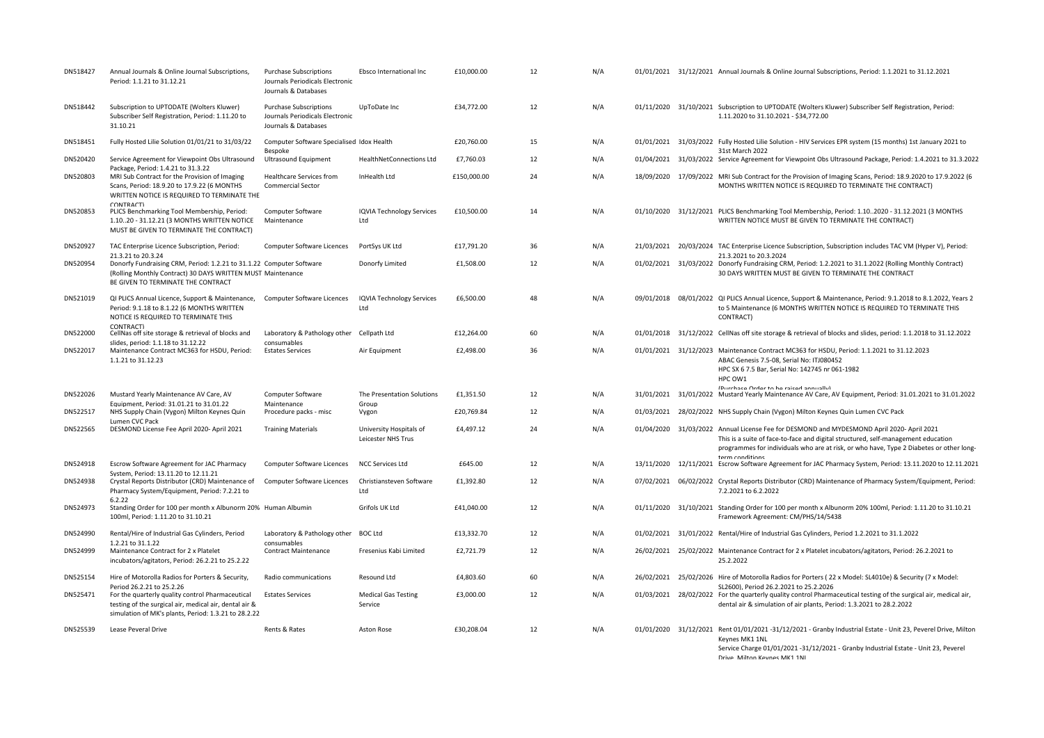| DN518427 | Annual Journals & Online Journal Subscriptions,<br>Period: 1.1.21 to 31.12.21                                                                                                     | <b>Purchase Subscriptions</b><br>Journals Periodicals Electronic<br>Journals & Databases | Ebsco International Inc                       | £10,000.00  | 12 | N/A |            | 01/01/2021 31/12/2021 Annual Journals & Online Journal Subscriptions, Period: 1.1.2021 to 31.12.2021                                                                                                                                                                                         |
|----------|-----------------------------------------------------------------------------------------------------------------------------------------------------------------------------------|------------------------------------------------------------------------------------------|-----------------------------------------------|-------------|----|-----|------------|----------------------------------------------------------------------------------------------------------------------------------------------------------------------------------------------------------------------------------------------------------------------------------------------|
| DN518442 | Subscription to UPTODATE (Wolters Kluwer)<br>Subscriber Self Registration, Period: 1.11.20 to<br>31.10.21                                                                         | <b>Purchase Subscriptions</b><br>Journals Periodicals Electronic<br>Journals & Databases | UpToDate Inc                                  | £34,772.00  | 12 | N/A |            | 01/11/2020 31/10/2021 Subscription to UPTODATE (Wolters Kluwer) Subscriber Self Registration, Period:<br>1.11.2020 to 31.10.2021 - \$34,772.00                                                                                                                                               |
| DN518451 | Fully Hosted Lilie Solution 01/01/21 to 31/03/22                                                                                                                                  | Computer Software Specialised Idox Health<br>Bespoke                                     |                                               | £20,760.00  | 15 | N/A |            | 01/01/2021 31/03/2022 Fully Hosted Lilie Solution - HIV Services EPR system (15 months) 1st January 2021 to<br>31st March 2022                                                                                                                                                               |
| DN520420 | Service Agreement for Viewpoint Obs Ultrasound                                                                                                                                    | <b>Ultrasound Equipment</b>                                                              | HealthNetConnections Ltd                      | £7,760.03   | 12 | N/A |            | 01/04/2021 31/03/2022 Service Agreement for Viewpoint Obs Ultrasound Package, Period: 1.4.2021 to 31.3.2022                                                                                                                                                                                  |
| DN520803 | Package, Period: 1.4.21 to 31.3.22<br>MRI Sub Contract for the Provision of Imaging<br>Scans, Period: 18.9.20 to 17.9.22 (6 MONTHS<br>WRITTEN NOTICE IS REQUIRED TO TERMINATE THE | Healthcare Services from<br><b>Commercial Sector</b>                                     | InHealth Ltd                                  | £150,000.00 | 24 | N/A | 18/09/2020 | 17/09/2022 MRI Sub Contract for the Provision of Imaging Scans, Period: 18.9.2020 to 17.9.2022 (6<br>MONTHS WRITTEN NOTICE IS REQUIRED TO TERMINATE THE CONTRACT)                                                                                                                            |
| DN520853 | CONTRACT)<br>PLICS Benchmarking Tool Membership, Period:<br>1.1020 - 31.12.21 (3 MONTHS WRITTEN NOTICE<br>MUST BE GIVEN TO TERMINATE THE CONTRACT)                                | Computer Software<br>Maintenance                                                         | <b>IQVIA Technology Services</b><br>Ltd       | £10,500.00  | 14 | N/A |            | 01/10/2020 31/12/2021 PLICS Benchmarking Tool Membership, Period: 1.102020 - 31.12.2021 (3 MONTHS<br>WRITTEN NOTICE MUST BE GIVEN TO TERMINATE THE CONTRACT)                                                                                                                                 |
| DN520927 | TAC Enterprise Licence Subscription, Period:<br>21.3.21 to 20.3.24                                                                                                                | Computer Software Licences                                                               | PortSys UK Ltd                                | £17,791.20  | 36 | N/A |            | 21/03/2021 20/03/2024 TAC Enterprise Licence Subscription, Subscription includes TAC VM (Hyper V), Period:<br>21.3.2021 to 20.3.2024                                                                                                                                                         |
| DN520954 | Donorfy Fundraising CRM, Period: 1.2.21 to 31.1.22 Computer Software<br>(Rolling Monthly Contract) 30 DAYS WRITTEN MUST Maintenance<br>BE GIVEN TO TERMINATE THE CONTRACT         |                                                                                          | Donorfy Limited                               | £1,508.00   | 12 | N/A |            | 01/02/2021 31/03/2022 Donorfy Fundraising CRM, Period: 1.2.2021 to 31.1.2022 (Rolling Monthly Contract)<br>30 DAYS WRITTEN MUST BE GIVEN TO TERMINATE THE CONTRACT                                                                                                                           |
| DN521019 | QI PLICS Annual Licence, Support & Maintenance, Computer Software Licences<br>Period: 9.1.18 to 8.1.22 (6 MONTHS WRITTEN<br>NOTICE IS REQUIRED TO TERMINATE THIS                  |                                                                                          | <b>IQVIA Technology Services</b><br>Ltd       | £6,500.00   | 48 | N/A |            | 09/01/2018 08/01/2022 QI PLICS Annual Licence, Support & Maintenance, Period: 9.1.2018 to 8.1.2022, Years 2<br>to 5 Maintenance (6 MONTHS WRITTEN NOTICE IS REQUIRED TO TERMINATE THIS<br>CONTRACT)                                                                                          |
| DN522000 | <b>CONTRACT)</b><br>CellNas off site storage & retrieval of blocks and                                                                                                            | Laboratory & Pathology other Cellpath Ltd                                                |                                               | £12,264.00  | 60 | N/A |            | 01/01/2018 31/12/2022 CellNas off site storage & retrieval of blocks and slides, period: 1.1.2018 to 31.12.2022                                                                                                                                                                              |
| DN522017 | slides, period: 1.1.18 to 31.12.22<br>Maintenance Contract MC363 for HSDU, Period:<br>1.1.21 to 31.12.23                                                                          | consumables<br><b>Estates Services</b>                                                   | Air Equipment                                 | £2,498.00   | 36 | N/A |            | 01/01/2021 31/12/2023 Maintenance Contract MC363 for HSDU, Period: 1.1.2021 to 31.12.2023<br>ABAC Genesis 7.5-08, Serial No: ITJ080452<br>HPC SX 6 7.5 Bar, Serial No: 142745 nr 061-1982<br>HPC OW1<br>(Purchase Order to be raised annually)                                               |
| DN522026 | Mustard Yearly Maintenance AV Care, AV<br>Equipment, Period: 31.01.21 to 31.01.22                                                                                                 | Computer Software<br>Maintenance                                                         | The Presentation Solutions<br>Group           | £1,351.50   | 12 | N/A |            | 31/01/2021 31/01/2022 Mustard Yearly Maintenance AV Care, AV Equipment, Period: 31.01.2021 to 31.01.2022                                                                                                                                                                                     |
| DN522517 | NHS Supply Chain (Vygon) Milton Keynes Quin<br>Lumen CVC Pack                                                                                                                     | Procedure packs - misc                                                                   | Vygon                                         | £20,769.84  | 12 | N/A |            | 01/03/2021 28/02/2022 NHS Supply Chain (Vygon) Milton Keynes Quin Lumen CVC Pack                                                                                                                                                                                                             |
| DN522565 | DESMOND License Fee April 2020- April 2021                                                                                                                                        | <b>Training Materials</b>                                                                | University Hospitals of<br>Leicester NHS Trus | £4,497.12   | 24 | N/A |            | 01/04/2020 31/03/2022 Annual License Fee for DESMOND and MYDESMOND April 2020- April 2021<br>This is a suite of face-to-face and digital structured, self-management education<br>programmes for individuals who are at risk, or who have, Type 2 Diabetes or other long-<br>term conditions |
| DN524918 | Escrow Software Agreement for JAC Pharmacy<br>System, Period: 13.11.20 to 12.11.21                                                                                                | Computer Software Licences                                                               | <b>NCC Services Ltd</b>                       | £645.00     | 12 | N/A |            | 13/11/2020 12/11/2021 Escrow Software Agreement for JAC Pharmacy System, Period: 13.11.2020 to 12.11.2021                                                                                                                                                                                    |
| DN524938 | Crystal Reports Distributor (CRD) Maintenance of<br>Pharmacy System/Equipment, Period: 7.2.21 to<br>6.2.22                                                                        | Computer Software Licences                                                               | Christiansteven Software<br>Ltd               | £1,392.80   | 12 | N/A | 07/02/2021 | 06/02/2022 Crystal Reports Distributor (CRD) Maintenance of Pharmacy System/Equipment, Period:<br>7.2.2021 to 6.2.2022                                                                                                                                                                       |
| DN524973 | Standing Order for 100 per month x Albunorm 20% Human Albumin<br>100ml, Period: 1.11.20 to 31.10.21                                                                               |                                                                                          | Grifols UK Ltd                                | £41,040.00  | 12 | N/A |            | 01/11/2020 31/10/2021 Standing Order for 100 per month x Albunorm 20% 100ml, Period: 1.11.20 to 31.10.21<br>Framework Agreement: CM/PHS/14/5438                                                                                                                                              |
| DN524990 | Rental/Hire of Industrial Gas Cylinders, Period<br>1.2.21 to 31.1.22                                                                                                              | Laboratory & Pathology other<br>consumables                                              | <b>BOC Ltd</b>                                | £13,332.70  | 12 | N/A |            | 01/02/2021 31/01/2022 Rental/Hire of Industrial Gas Cylinders, Period 1.2.2021 to 31.1.2022                                                                                                                                                                                                  |
| DN524999 | Maintenance Contract for 2 x Platelet<br>incubators/agitators, Period: 26.2.21 to 25.2.22                                                                                         | <b>Contract Maintenance</b>                                                              | Fresenius Kabi Limited                        | £2,721.79   | 12 | N/A |            | 26/02/2021 25/02/2022 Maintenance Contract for 2 x Platelet incubators/agitators, Period: 26.2.2021 to<br>25.2.2022                                                                                                                                                                          |
| DN525154 | Hire of Motorolla Radios for Porters & Security,<br>Period 26.2.21 to 25.2.26                                                                                                     | Radio communications                                                                     | Resound Ltd                                   | £4,803.60   | 60 | N/A |            | 26/02/2021 25/02/2026 Hire of Motorolla Radios for Porters (22 x Model: SL4010e) & Security (7 x Model:<br>SL2600), Period 26.2.2021 to 25.2.2026                                                                                                                                            |
| DN525471 | For the quarterly quality control Pharmaceutical<br>testing of the surgical air, medical air, dental air &<br>simulation of MK's plants, Period: 1.3.21 to 28.2.22                | <b>Estates Services</b>                                                                  | <b>Medical Gas Testing</b><br>Service         | £3,000.00   | 12 | N/A |            | 01/03/2021 28/02/2022 For the quarterly quality control Pharmaceutical testing of the surgical air, medical air,<br>dental air & simulation of air plants, Period: 1.3.2021 to 28.2.2022                                                                                                     |
| DN525539 | Lease Peveral Drive                                                                                                                                                               | Rents & Rates                                                                            | Aston Rose                                    | £30,208.04  | 12 | N/A |            | 01/01/2020 31/12/2021 Rent 01/01/2021 -31/12/2021 - Granby Industrial Estate - Unit 23, Peverel Drive, Milton<br>Keynes MK1 1NL<br>Service Charge 01/01/2021 -31/12/2021 - Granby Industrial Estate - Unit 23, Peverel<br>Drive Milton Keynes MK1 1NI                                        |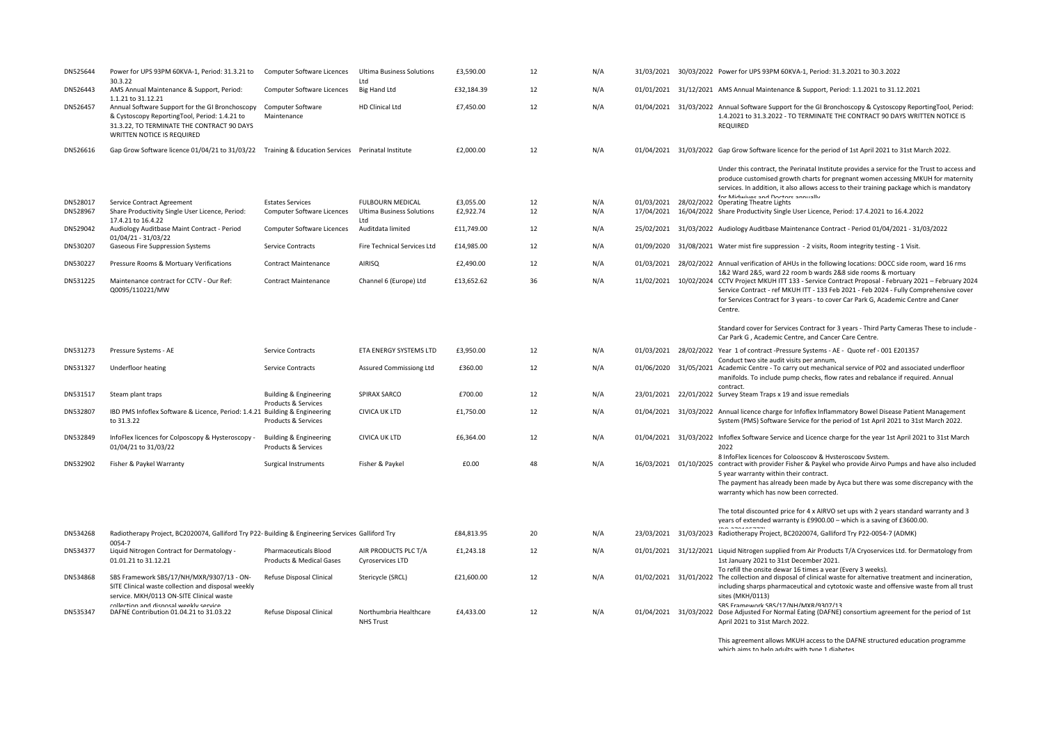| DN525644             | Power for UPS 93PM 60KVA-1, Period: 31.3.21 to<br>30.3.22                                                                                                                                          | Computer Software Licences                               | <b>Ultima Business Solutions</b><br>Ltd                     | £3,590.00              | 12       | N/A        |            | 31/03/2021 30/03/2022 Power for UPS 93PM 60KVA-1, Period: 31.3.2021 to 30.3.2022                                                                                                                                                                                                                                                                  |
|----------------------|----------------------------------------------------------------------------------------------------------------------------------------------------------------------------------------------------|----------------------------------------------------------|-------------------------------------------------------------|------------------------|----------|------------|------------|---------------------------------------------------------------------------------------------------------------------------------------------------------------------------------------------------------------------------------------------------------------------------------------------------------------------------------------------------|
| DN526443             | AMS Annual Maintenance & Support, Period:                                                                                                                                                          | Computer Software Licences                               | Big Hand Ltd                                                | £32,184.39             | 12       | N/A        |            | 01/01/2021 31/12/2021 AMS Annual Maintenance & Support, Period: 1.1.2021 to 31.12.2021                                                                                                                                                                                                                                                            |
| DN526457             | 1.1.21 to 31.12.21<br>Annual Software Support for the GI Bronchoscopy<br>& Cystoscopy ReportingTool, Period: 1.4.21 to<br>31.3.22, TO TERMINATE THE CONTRACT 90 DAYS<br>WRITTEN NOTICE IS REQUIRED | Computer Software<br>Maintenance                         | HD Clinical Ltd                                             | £7,450.00              | 12       | N/A        |            | 01/04/2021 31/03/2022 Annual Software Support for the GI Bronchoscopy & Cystoscopy ReportingTool, Period:<br>1.4.2021 to 31.3.2022 - TO TERMINATE THE CONTRACT 90 DAYS WRITTEN NOTICE IS<br><b>REQUIRED</b>                                                                                                                                       |
| DN526616             | Gap Grow Software licence 01/04/21 to 31/03/22 Training & Education Services Perinatal Institute                                                                                                   |                                                          |                                                             | £2,000.00              | 12       | N/A        |            | 01/04/2021 31/03/2022 Gap Grow Software licence for the period of 1st April 2021 to 31st March 2022.                                                                                                                                                                                                                                              |
|                      |                                                                                                                                                                                                    |                                                          |                                                             |                        |          |            |            | Under this contract, the Perinatal Institute provides a service for the Trust to access and<br>produce customised growth charts for pregnant women accessing MKUH for maternity<br>services. In addition, it also allows access to their training package which is mandatory<br>for Miduiuse and Doctors annually                                 |
| DN528017<br>DN528967 | Service Contract Agreement<br>Share Productivity Single User Licence, Period:                                                                                                                      | <b>Estates Services</b><br>Computer Software Licences    | <b>FULBOURN MEDICAL</b><br><b>Ultima Business Solutions</b> | £3,055.00<br>£2,922.74 | 12<br>12 | N/A<br>N/A | 17/04/2021 | 01/03/2021 28/02/2022 Operating Theatre Lights<br>16/04/2022 Share Productivity Single User Licence, Period: 17.4.2021 to 16.4.2022                                                                                                                                                                                                               |
|                      | 17.4.21 to 16.4.22                                                                                                                                                                                 |                                                          | Ltd                                                         |                        |          |            |            |                                                                                                                                                                                                                                                                                                                                                   |
| DN529042             | Audiology Auditbase Maint Contract - Period<br>01/04/21 - 31/03/22                                                                                                                                 | Computer Software Licences                               | Auditdata limited                                           | £11,749.00             | 12       | N/A        |            | 25/02/2021 31/03/2022 Audiology Auditbase Maintenance Contract - Period 01/04/2021 - 31/03/2022                                                                                                                                                                                                                                                   |
| DN530207             | Gaseous Fire Suppression Systems                                                                                                                                                                   | Service Contracts                                        | Fire Technical Services Ltd                                 | £14,985.00             | 12       | N/A        | 01/09/2020 | 31/08/2021 Water mist fire suppression - 2 visits, Room integrity testing - 1 Visit.                                                                                                                                                                                                                                                              |
| DN530227             | Pressure Rooms & Mortuary Verifications                                                                                                                                                            | <b>Contract Maintenance</b>                              | AIRISQ                                                      | £2,490.00              | 12       | N/A        | 01/03/2021 | 28/02/2022 Annual verification of AHUs in the following locations: DOCC side room, ward 16 rms<br>1&2 Ward 2&5, ward 22 room b wards 2&8 side rooms & mortuary                                                                                                                                                                                    |
| DN531225             | Maintenance contract for CCTV - Our Ref:<br>Q0095/110221/MW                                                                                                                                        | <b>Contract Maintenance</b>                              | Channel 6 (Europe) Ltd                                      | £13,652.62             | 36       | N/A        | 11/02/2021 | 10/02/2024 CCTV Project MKUH ITT 133 - Service Contract Proposal - February 2021 - February 2024<br>Service Contract - ref MKUH ITT - 133 Feb 2021 - Feb 2024 - Fully Comprehensive cover<br>for Services Contract for 3 years - to cover Car Park G, Academic Centre and Caner<br>Centre.                                                        |
|                      |                                                                                                                                                                                                    |                                                          |                                                             |                        |          |            |            | Standard cover for Services Contract for 3 years - Third Party Cameras These to include<br>Car Park G, Academic Centre, and Cancer Care Centre.                                                                                                                                                                                                   |
| DN531273             | Pressure Systems - AE                                                                                                                                                                              | Service Contracts                                        | ETA ENERGY SYSTEMS LTD                                      | £3,950.00              | 12       | N/A        |            | 01/03/2021 28/02/2022 Year 1 of contract -Pressure Systems - AE - Quote ref - 001 E201357<br>Conduct two site audit visits per annum,                                                                                                                                                                                                             |
| DN531327             | Underfloor heating                                                                                                                                                                                 | <b>Service Contracts</b>                                 | Assured Commissiong Ltd                                     | £360.00                | 12       | N/A        |            | 01/06/2020 31/05/2021 Academic Centre - To carry out mechanical service of P02 and associated underfloor<br>manifolds. To include pump checks, flow rates and rebalance if required. Annual<br>contract.                                                                                                                                          |
| DN531517             | Steam plant traps                                                                                                                                                                                  | <b>Building &amp; Engineering</b><br>Products & Services | SPIRAX SARCO                                                | £700.00                | 12       | N/A        |            | 23/01/2021 22/01/2022 Survey Steam Traps x 19 and issue remedials                                                                                                                                                                                                                                                                                 |
| DN532807             | IBD PMS Infoflex Software & Licence, Period: 1.4.21 Building & Engineering<br>to 31.3.22                                                                                                           | Products & Services                                      | <b>CIVICA UK LTD</b>                                        | £1,750.00              | 12       | N/A        |            | 01/04/2021 31/03/2022 Annual licence charge for Infoflex Inflammatory Bowel Disease Patient Management<br>System (PMS) Software Service for the period of 1st April 2021 to 31st March 2022.                                                                                                                                                      |
| DN532849             | InfoFlex licences for Colposcopy & Hysteroscopy -<br>01/04/21 to 31/03/22                                                                                                                          | <b>Building &amp; Engineering</b><br>Products & Services | <b>CIVICA UK LTD</b>                                        | £6,364.00              | 12       | N/A        |            | 01/04/2021 31/03/2022 Infoflex Software Service and Licence charge for the year 1st April 2021 to 31st March<br>2022                                                                                                                                                                                                                              |
| DN532902             | Fisher & Paykel Warranty                                                                                                                                                                           | Surgical Instruments                                     | Fisher & Paykel                                             | £0.00                  | 48       | N/A        |            | 8 InfoFlex licences for Colposcopy & Hysteroscopy System.<br>16/03/2021 01/10/2025 contract with provider Fisher & Paykel who provide Airvo Pumps and have also included<br>5 year warranty within their contract.<br>The payment has already been made by Ayca but there was some discrepancy with the<br>warranty which has now been corrected. |
|                      |                                                                                                                                                                                                    |                                                          |                                                             |                        |          |            |            | The total discounted price for 4 x AIRVO set ups with 2 years standard warranty and 3<br>years of extended warranty is £9900.00 - which is a saving of £3600.00.<br>$\sum_{n=1}^{\infty}$                                                                                                                                                         |
| DN534268             | Radiotherapy Project, BC2020074, Galliford Try P22- Building & Engineering Services Galliford Try<br>0054-7                                                                                        |                                                          |                                                             | £84,813.95             | 20       | N/A        |            | 23/03/2021 31/03/2023 Radiotherapy Project, BC2020074, Galliford Try P22-0054-7 (ADMK)                                                                                                                                                                                                                                                            |
| DN534377             | Liquid Nitrogen Contract for Dermatology -<br>01.01.21 to 31.12.21                                                                                                                                 | <b>Pharmaceuticals Blood</b><br>Products & Medical Gases | AIR PRODUCTS PLC T/A<br>Cyroservices LTD                    | £1,243.18              | 12       | N/A        |            | 01/01/2021 31/12/2021 Liquid Nitrogen supplied from Air Products T/A Cryoservices Ltd. for Dermatology from<br>1st January 2021 to 31st December 2021.                                                                                                                                                                                            |
| DN534868             | SBS Framework SBS/17/NH/MXR/9307/13 - ON-<br>SITE Clinical waste collection and disposal weekly<br>service. MKH/0113 ON-SITE Clinical waste                                                        | Refuse Disposal Clinical                                 | Stericycle (SRCL)                                           | £21,600.00             | 12       | N/A        |            | To refill the onsite dewar 16 times a vear (Every 3 weeks).<br>01/02/2021 31/01/2022 The collection and disposal of clinical waste for alternative treatment and incineration,<br>including sharps pharmaceutical and cytotoxic waste and offensive waste from all trust<br>sites (MKH/0113)                                                      |
| DN535347             | collection and disposal weekly service<br>DAFNE Contribution 01.04.21 to 31.03.22                                                                                                                  | Refuse Disposal Clinical                                 | Northumbria Healthcare<br><b>NHS Trust</b>                  | £4,433.00              | 12       | N/A        |            | SBS Framework SBS/17/NH/MXR/9307/13<br>01/04/2021 31/03/2022 Dose Adjusted For Normal Eating (DAFNE) consortium agreement for the period of 1st<br>April 2021 to 31st March 2022.                                                                                                                                                                 |
|                      |                                                                                                                                                                                                    |                                                          |                                                             |                        |          |            |            |                                                                                                                                                                                                                                                                                                                                                   |

This agreement allows MKUH access to the DAFNE structured education programme which aims to help adults with type 1 diabetes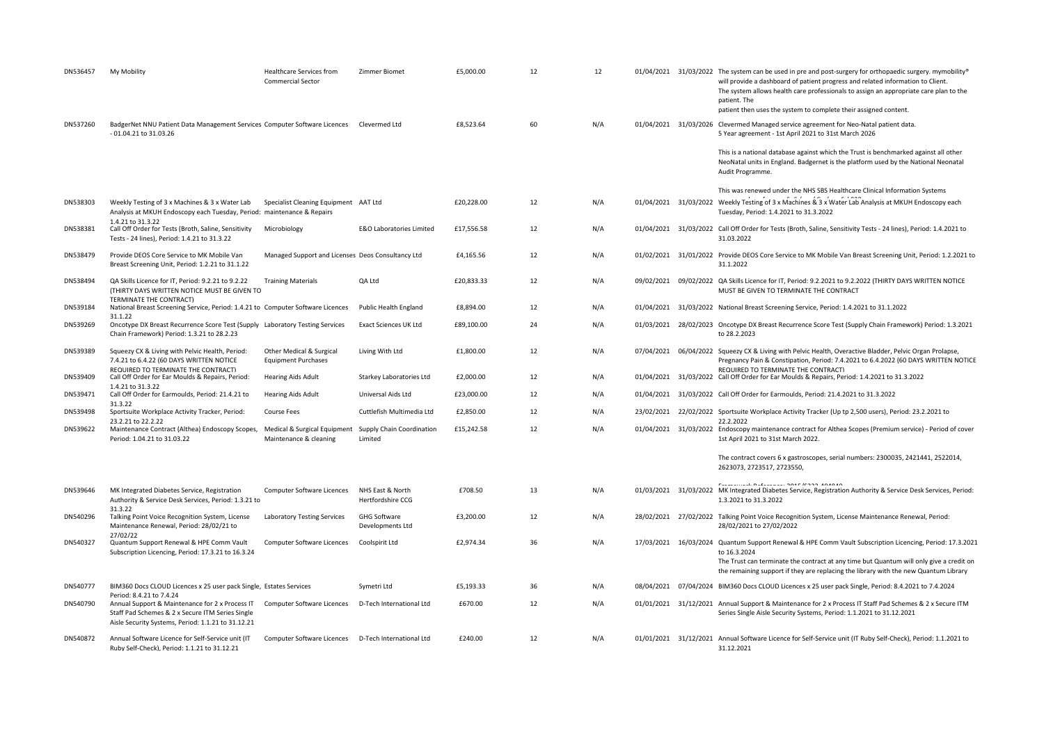| DN536457 | My Mobility                                                                                                                                                                           | Healthcare Services from<br>Commercial Sector                                    | Zimmer Biomet                           | £5,000.00  | 12 | 12  |            | 01/04/2021 31/03/2022 The system can be used in pre and post-surgery for orthopaedic surgery. mymobility®<br>will provide a dashboard of patient progress and related information to Client.<br>The system allows health care professionals to assign an appropriate care plan to the<br>patient. The<br>patient then uses the system to complete their assigned content. |
|----------|---------------------------------------------------------------------------------------------------------------------------------------------------------------------------------------|----------------------------------------------------------------------------------|-----------------------------------------|------------|----|-----|------------|---------------------------------------------------------------------------------------------------------------------------------------------------------------------------------------------------------------------------------------------------------------------------------------------------------------------------------------------------------------------------|
| DN537260 | BadgerNet NNU Patient Data Management Services Computer Software Licences Clevermed Ltd<br>- 01.04.21 to 31.03.26                                                                     |                                                                                  |                                         | £8,523.64  | 60 | N/A |            | 01/04/2021 31/03/2026 Clevermed Managed service agreement for Neo-Natal patient data.<br>5 Year agreement - 1st April 2021 to 31st March 2026                                                                                                                                                                                                                             |
|          |                                                                                                                                                                                       |                                                                                  |                                         |            |    |     |            | This is a national database against which the Trust is benchmarked against all other<br>NeoNatal units in England. Badgernet is the platform used by the National Neonatal<br>Audit Programme.                                                                                                                                                                            |
| DN538303 | Weekly Testing of 3 x Machines & 3 x Water Lab<br>Analysis at MKUH Endoscopy each Tuesday, Period: maintenance & Repairs                                                              | Specialist Cleaning Equipment AAT Ltd                                            |                                         | £20,228.00 | 12 | N/A |            | This was renewed under the NHS SBS Healthcare Clinical Information Systems<br>01/04/2021 31/03/2022 Weekly Testing of 3 x Machines & 3 x Water Lab Analysis at MKUH Endoscopy each<br>Tuesday, Period: 1.4.2021 to 31.3.2022                                                                                                                                              |
| DN538381 | 1.4.21 to 31.3.22<br>Call Off Order for Tests (Broth, Saline, Sensitivity<br>Tests - 24 lines), Period: 1.4.21 to 31.3.22                                                             | Microbiology                                                                     | E&O Laboratories Limited                | £17,556.58 | 12 | N/A |            | 01/04/2021 31/03/2022 Call Off Order for Tests (Broth, Saline, Sensitivity Tests - 24 lines), Period: 1.4.2021 to<br>31.03.2022                                                                                                                                                                                                                                           |
| DN538479 | Provide DEOS Core Service to MK Mobile Van<br>Breast Screening Unit, Period: 1.2.21 to 31.1.22                                                                                        | Managed Support and Licenses Deos Consultancy Ltd                                |                                         | £4,165.56  | 12 | N/A |            | 01/02/2021 31/01/2022 Provide DEOS Core Service to MK Mobile Van Breast Screening Unit, Period: 1.2.2021 to<br>31.1.2022                                                                                                                                                                                                                                                  |
| DN538494 | QA Skills Licence for IT, Period: 9.2.21 to 9.2.22<br>(THIRTY DAYS WRITTEN NOTICE MUST BE GIVEN TO                                                                                    | <b>Training Materials</b>                                                        | QA Ltd                                  | £20,833.33 | 12 | N/A |            | 09/02/2021 09/02/2022 QA Skills Licence for IT, Period: 9.2.2021 to 9.2.2022 (THIRTY DAYS WRITTEN NOTICE<br>MUST BE GIVEN TO TERMINATE THE CONTRACT                                                                                                                                                                                                                       |
| DN539184 | TERMINATE THE CONTRACT)<br>National Breast Screening Service, Period: 1.4.21 to Computer Software Licences                                                                            |                                                                                  | Public Health England                   | £8,894.00  | 12 | N/A |            | 01/04/2021 31/03/2022 National Breast Screening Service, Period: 1.4.2021 to 31.1.2022                                                                                                                                                                                                                                                                                    |
| DN539269 | 31.1.22<br>Oncotype DX Breast Recurrence Score Test (Supply Laboratory Testing Services<br>Chain Framework) Period: 1.3.21 to 28.2.23                                                 |                                                                                  | <b>Exact Sciences UK Ltd</b>            | £89,100.00 | 24 | N/A |            | 01/03/2021 28/02/2023 Oncotype DX Breast Recurrence Score Test (Supply Chain Framework) Period: 1.3.2021<br>to 28.2.2023                                                                                                                                                                                                                                                  |
| DN539389 | Squeezy CX & Living with Pelvic Health, Period:<br>7.4.21 to 6.4.22 (60 DAYS WRITTEN NOTICE<br>REQUIRED TO TERMINATE THE CONTRACT)                                                    | Other Medical & Surgical<br><b>Equipment Purchases</b>                           | Living With Ltd                         | £1,800.00  | 12 | N/A | 07/04/2021 | 06/04/2022 Squeezy CX & Living with Pelvic Health, Overactive Bladder, Pelvic Organ Prolapse,<br>Pregnancy Pain & Constipation, Period: 7.4.2021 to 6.4.2022 (60 DAYS WRITTEN NOTICE<br>REQUIRED TO TERMINATE THE CONTRACT)                                                                                                                                               |
| DN539409 | Call Off Order for Ear Moulds & Repairs, Period:<br>1.4.21 to 31.3.22                                                                                                                 | <b>Hearing Aids Adult</b>                                                        | Starkey Laboratories Ltd                | £2,000.00  | 12 | N/A |            | 01/04/2021 31/03/2022 Call Off Order for Ear Moulds & Repairs, Period: 1.4.2021 to 31.3.2022                                                                                                                                                                                                                                                                              |
| DN539471 | Call Off Order for Earmoulds, Period: 21.4.21 to<br>31.3.22                                                                                                                           | <b>Hearing Aids Adult</b>                                                        | Universal Aids Ltd                      | £23,000.00 | 12 | N/A |            | 01/04/2021 31/03/2022 Call Off Order for Earmoulds, Period: 21.4.2021 to 31.3.2022                                                                                                                                                                                                                                                                                        |
| DN539498 | Sportsuite Workplace Activity Tracker, Period:<br>23.2.21 to 22.2.22                                                                                                                  | Course Fees                                                                      | Cuttlefish Multimedia Ltd               | £2,850.00  | 12 | N/A |            | 23/02/2021 22/02/2022 Sportsuite Workplace Activity Tracker (Up tp 2,500 users), Period: 23.2.2021 to<br>22.2.2022                                                                                                                                                                                                                                                        |
| DN539622 | Maintenance Contract (Althea) Endoscopy Scopes,<br>Period: 1.04.21 to 31.03.22                                                                                                        | Medical & Surgical Equipment Supply Chain Coordination<br>Maintenance & cleaning | Limited                                 | £15,242.58 | 12 | N/A |            | 01/04/2021 31/03/2022 Endoscopy maintenance contract for Althea Scopes (Premium service) - Period of cover<br>1st April 2021 to 31st March 2022.                                                                                                                                                                                                                          |
|          |                                                                                                                                                                                       |                                                                                  |                                         |            |    |     |            | The contract covers 6 x gastroscopes, serial numbers: 2300035, 2421441, 2522014,<br>2623073, 2723517, 2723550,                                                                                                                                                                                                                                                            |
| DN539646 | MK Integrated Diabetes Service, Registration<br>Authority & Service Desk Services, Period: 1.3.21 to                                                                                  | Computer Software Licences                                                       | NHS East & North<br>Hertfordshire CCG   | £708.50    | 13 | N/A |            | <b>CONTRACT BULLION CONTRACT ANARAS</b><br>01/03/2021 31/03/2022 MK Integrated Diabetes Service, Registration Authority & Service Desk Services, Period:<br>1.3.2021 to 31.3.2022                                                                                                                                                                                         |
| DN540296 | 31.3.22<br>Talking Point Voice Recognition System, License<br>Maintenance Renewal, Period: 28/02/21 to                                                                                | Laboratory Testing Services                                                      | <b>GHG Software</b><br>Developments Ltd | £3,200.00  | 12 | N/A |            | 28/02/2021 27/02/2022 Talking Point Voice Recognition System, License Maintenance Renewal, Period:<br>28/02/2021 to 27/02/2022                                                                                                                                                                                                                                            |
| DN540327 | 27/02/22<br>Quantum Support Renewal & HPE Comm Vault<br>Subscription Licencing, Period: 17.3.21 to 16.3.24                                                                            | Computer Software Licences                                                       | Coolspirit Ltd                          | £2,974.34  | 36 | N/A |            | 17/03/2021 16/03/2024 Quantum Support Renewal & HPE Comm Vault Subscription Licencing, Period: 17.3.2021<br>to 16.3.2024<br>The Trust can terminate the contract at any time but Quantum will only give a credit on<br>the remaining support if they are replacing the library with the new Quantum Library                                                               |
| DN540777 | BIM360 Docs CLOUD Licences x 25 user pack Single, Estates Services                                                                                                                    |                                                                                  | Symetri Ltd                             | £5,193.33  | 36 | N/A |            | 08/04/2021 07/04/2024 BIM360 Docs CLOUD Licences x 25 user pack Single, Period: 8.4.2021 to 7.4.2024                                                                                                                                                                                                                                                                      |
| DN540790 | Period: 8.4.21 to 7.4.24<br>Annual Support & Maintenance for 2 x Process IT<br>Staff Pad Schemes & 2 x Secure ITM Series Single<br>Aisle Security Systems, Period: 1.1.21 to 31.12.21 | Computer Software Licences                                                       | D-Tech International Ltd                | £670.00    | 12 | N/A |            | 01/01/2021 31/12/2021 Annual Support & Maintenance for 2 x Process IT Staff Pad Schemes & 2 x Secure ITM<br>Series Single Aisle Security Systems, Period: 1.1.2021 to 31.12.2021                                                                                                                                                                                          |
| DN540872 | Annual Software Licence for Self-Service unit (IT<br>Ruby Self-Check). Period: 1.1.21 to 31.12.21                                                                                     | Computer Software Licences D-Tech International Ltd                              |                                         | £240.00    | 12 | N/A |            | 01/01/2021 31/12/2021 Annual Software Licence for Self-Service unit (IT Ruby Self-Check), Period: 1.1.2021 to<br>31.12.2021                                                                                                                                                                                                                                               |